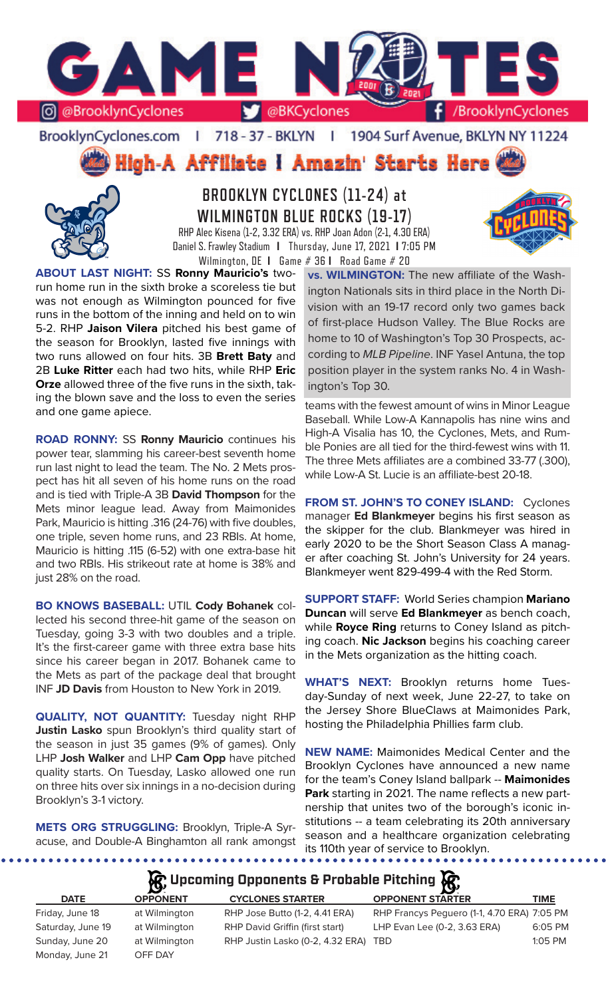

BrooklynCyclones.com | 718 - 37 - BKLYN | 1904 Surf Avenue, BKLYN NY 11224

High-A Affiliate I Amazin' Starts Here



**BROOKLYN CYCLONES (11-24) at WILMINGTON BLUE ROCKS (19-17)** RHP Alec Kisena (1-2, 3.32 ERA) vs. RHP Joan Adon (2-1, 4.30 ERA) Daniel S. Frawley Stadium **I** Thursday, June 17, 2021 **I** 7:05 PM



**ABOUT LAST NIGHT:** SS **Ronny Mauricio's** tworun home run in the sixth broke a scoreless tie but was not enough as Wilmington pounced for five runs in the bottom of the inning and held on to win 5-2. RHP **Jaison Vilera** pitched his best game of the season for Brooklyn, lasted five innings with two runs allowed on four hits. 3B **Brett Baty** and 2B **Luke Ritter** each had two hits, while RHP **Eric Orze** allowed three of the five runs in the sixth, taking the blown save and the loss to even the series and one game apiece.

**ROAD RONNY:** SS **Ronny Mauricio** continues his power tear, slamming his career-best seventh home run last night to lead the team. The No. 2 Mets prospect has hit all seven of his home runs on the road and is tied with Triple-A 3B **David Thompson** for the Mets minor league lead. Away from Maimonides Park, Mauricio is hitting .316 (24-76) with five doubles, one triple, seven home runs, and 23 RBIs. At home, Mauricio is hitting .115 (6-52) with one extra-base hit and two RBIs. His strikeout rate at home is 38% and just 28% on the road.

**BO KNOWS BASEBALL:** UTIL **Cody Bohanek** collected his second three-hit game of the season on Tuesday, going 3-3 with two doubles and a triple. It's the first-career game with three extra base hits since his career began in 2017. Bohanek came to the Mets as part of the package deal that brought INF **JD Davis** from Houston to New York in 2019.

**QUALITY, NOT QUANTITY:** Tuesday night RHP **Justin Lasko** spun Brooklyn's third quality start of the season in just 35 games (9% of games). Only LHP **Josh Walker** and LHP **Cam Opp** have pitched quality starts. On Tuesday, Lasko allowed one run on three hits over six innings in a no-decision during Brooklyn's 3-1 victory.

**METS ORG STRUGGLING:** Brooklyn, Triple-A Syracuse, and Double-A Binghamton all rank amongst

. . . . . . . . . . . . . . . . .

Wilmington, DE **I** Game # 36 **I** Road Game # 20 **vs. WILMINGTON:** The new affiliate of the Washington Nationals sits in third place in the North Division with an 19-17 record only two games back of first-place Hudson Valley. The Blue Rocks are home to 10 of Washington's Top 30 Prospects, according to *MLB Pipeline*. INF Yasel Antuna, the top position player in the system ranks No. 4 in Washington's Top 30.

> teams with the fewest amount of wins in Minor League Baseball. While Low-A Kannapolis has nine wins and High-A Visalia has 10, the Cyclones, Mets, and Rumble Ponies are all tied for the third-fewest wins with 11. The three Mets affiliates are a combined 33-77 (.300), while Low-A St. Lucie is an affiliate-best 20-18.

> **FROM ST. JOHN'S TO CONEY ISLAND:** Cyclones manager **Ed Blankmeyer** begins his first season as the skipper for the club. Blankmeyer was hired in early 2020 to be the Short Season Class A manager after coaching St. John's University for 24 years. Blankmeyer went 829-499-4 with the Red Storm.

> **SUPPORT STAFF:** World Series champion **Mariano Duncan** will serve **Ed Blankmeyer** as bench coach, while **Royce Ring** returns to Coney Island as pitching coach. **Nic Jackson** begins his coaching career in the Mets organization as the hitting coach.

> **WHAT'S NEXT:** Brooklyn returns home Tuesday-Sunday of next week, June 22-27, to take on the Jersey Shore BlueClaws at Maimonides Park, hosting the Philadelphia Phillies farm club.

> **NEW NAME:** Maimonides Medical Center and the Brooklyn Cyclones have announced a new name for the team's Coney Island ballpark -- **Maimonides Park** starting in 2021. The name reflects a new partnership that unites two of the borough's iconic institutions -- a team celebrating its 20th anniversary season and a healthcare organization celebrating its 110th year of service to Brooklyn.

## **Upcoming Opponents & Probable Pitching**

|                   | $\sim$          |                                      |                                             |             |
|-------------------|-----------------|--------------------------------------|---------------------------------------------|-------------|
| <b>DATE</b>       | <b>OPPONENT</b> | <b>CYCLONES STARTER</b>              | <b>OPPONENT STARTER</b>                     | <b>TIME</b> |
| Friday, June 18   | at Wilmington   | RHP Jose Butto (1-2, 4.41 ERA)       | RHP Francys Peguero (1-1, 4.70 ERA) 7:05 PM |             |
| Saturday, June 19 | at Wilmington   | RHP David Griffin (first start)      | LHP Evan Lee (0-2, 3.63 ERA)                | 6:05 PM     |
| Sunday, June 20   | at Wilmington   | RHP Justin Lasko (0-2, 4.32 ERA) TBD |                                             | $1:05$ PM   |
| Monday, June 21   | OFF DAY         |                                      |                                             |             |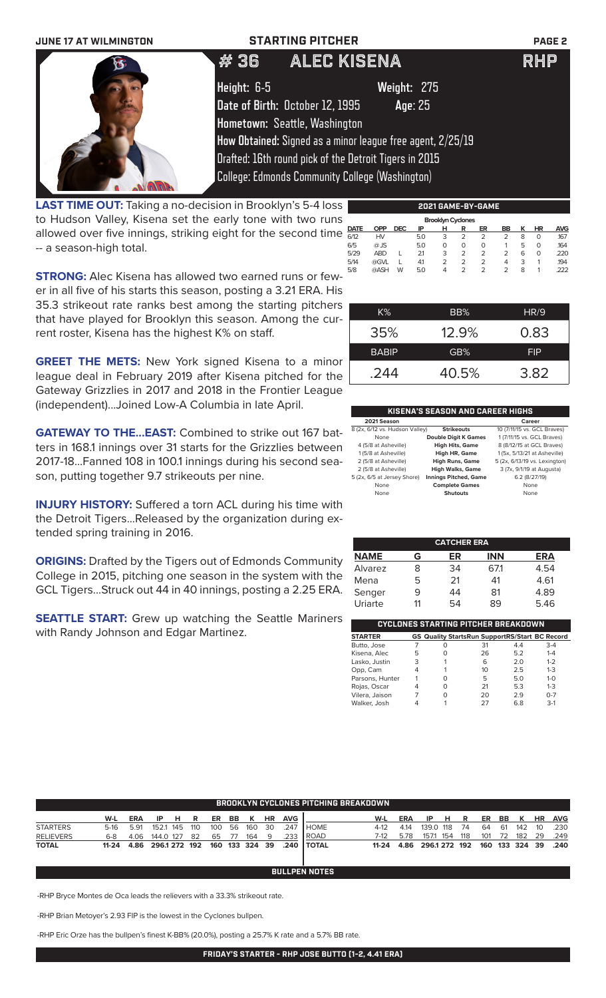### **JUNE 17 AT WILMINGTON STARTING PITCHER PAGE 2**



# # 36 ALEC KISENA RHP

**Height:** 6-5 **Weight:** 275

**Date of Birth:** October 12, 1995 **Age**: 25

**Hometown:** Seattle, Washington **How Obtained:** Signed as a minor league free agent, 2/25/19

Drafted: 16th round pick of the Detroit Tigers in 2015

College: Edmonds Community College (Washington)

**LAST TIME OUT:** Taking a no-decision in Brooklyn's 5-4 loss | to Hudson Valley, Kisena set the early tone with two runs allowed over five innings, striking eight for the second time -- a season-high total.

|                          | 695 VADE PI VADE |            |     |   |                |                |    |   |           |            |  |  |  |
|--------------------------|------------------|------------|-----|---|----------------|----------------|----|---|-----------|------------|--|--|--|
| <b>Brooklyn Cyclones</b> |                  |            |     |   |                |                |    |   |           |            |  |  |  |
| <b>DATE</b>              | <b>OPP</b>       | <b>DEC</b> | ΙP  | н | R              | ER             | BB | к | <b>HR</b> | <b>AVG</b> |  |  |  |
| 6/12                     | HV               |            | 5.0 | 3 | 2              | 2              | 2  | 8 | 0         | .167       |  |  |  |
| 6/5                      | @ JS             |            | 5.0 | Ο | O              | O              |    | 5 | O         | 164        |  |  |  |
| 5/29                     | <b>ABD</b>       |            | 21  | 3 | $\overline{2}$ | $\overline{2}$ | 2  | 6 | O         | .220       |  |  |  |
| 5/14                     | @GVL             |            | 4.1 | 2 | $\overline{2}$ | 2              | 4  | 3 |           | 194        |  |  |  |
| 5/8                      | @ASH             | W          | 5.0 | 4 | $\mathcal{P}$  | 2              | 2  | 8 |           | 222        |  |  |  |
|                          |                  |            |     |   |                |                |    |   |           |            |  |  |  |

**2021 GAME-BY-GAME**

**STRONG:** Alec Kisena has allowed two earned runs or fewer in all five of his starts this season, posting a 3.21 ERA. His 35.3 strikeout rate ranks best among the starting pitchers that have played for Brooklyn this season. Among the current roster, Kisena has the highest K% on staff.

**GREET THE METS:** New York signed Kisena to a minor league deal in February 2019 after Kisena pitched for the Gateway Grizzlies in 2017 and 2018 in the Frontier League (independent)...Joined Low-A Columbia in late April.

**GATEWAY TO THE...EAST:** Combined to strike out 167 batters in 168.1 innings over 31 starts for the Grizzlies between 2017-18...Fanned 108 in 100.1 innings during his second season, putting together 9.7 strikeouts per nine.

**INJURY HISTORY:** Suffered a torn ACL during his time with the Detroit Tigers...Released by the organization during extended spring training in 2016.

**ORIGINS:** Drafted by the Tigers out of Edmonds Community College in 2015, pitching one season in the system with the GCL Tigers...Struck out 44 in 40 innings, posting a 2.25 ERA.

**SEATTLE START:** Grew up watching the Seattle Mariners with Randy Johnson and Edgar Martinez.

| K%           | BB%      | HR/9       |
|--------------|----------|------------|
| 35%          | $12.9\%$ | 0.83       |
| <b>BABIP</b> | GB%      | <b>FIP</b> |
| .244         | 40.5%    | 3.82       |

### **KISENA'S SEASON AND CAREER HIGHS**

| 2021 Season                    |                              | Career                        |
|--------------------------------|------------------------------|-------------------------------|
| 8 (2x, 6/12 vs. Hudson Valley) | <b>Strikeouts</b>            | 10 (7/11/15 vs. GCL Braves)   |
| None                           | <b>Double Digit K Games</b>  | 1 (7/11/15 vs. GCL Braves)    |
| 4 (5/8 at Asheville)           | <b>High Hits, Game</b>       | 8 (8/12/15 at GCL Braves)     |
| 1 (5/8 at Asheville)           | High HR, Game                | 1 (5x, 5/13/21 at Asheville)  |
| 2 (5/8 at Asheville)           | <b>High Runs, Game</b>       | 5 (2x, 6/13/19 vs. Lexington) |
| 2 (5/8 at Asheville)           | <b>High Walks, Game</b>      | 3 (7x, 9/1/19 at Augusta)     |
| 5 (2x, 6/5 at Jersey Shore)    | <b>Innings Pitched, Game</b> | 6.2 (8/27/19)                 |
| None                           | <b>Complete Games</b>        | None                          |
| None                           | <b>Shutouts</b>              | None                          |
|                                |                              |                               |

|             |    | <b>CATCHER ERA</b> |            |            |
|-------------|----|--------------------|------------|------------|
| <b>NAME</b> | G  | ER                 | <b>INN</b> | <b>ERA</b> |
| Alvarez     | x  | 34                 | 671        | 4.54       |
| Mena        | 5  | 21                 | 41         | 4.61       |
| Senger      | 9  | 44                 | 81         | 4.89       |
| Uriarte     | 11 | 54                 | 89         | 5.46       |

| CYCLONES STARTING PITCHER BREAKDOWN |   |                                                       |    |     |         |  |  |  |  |  |  |
|-------------------------------------|---|-------------------------------------------------------|----|-----|---------|--|--|--|--|--|--|
| <b>STARTER</b>                      |   | <b>GS Quality StartsRun SupportRS/Start BC Record</b> |    |     |         |  |  |  |  |  |  |
| Butto, Jose                         |   | ი                                                     | 31 | 4.4 | $3 - 4$ |  |  |  |  |  |  |
| Kisena, Alec                        | 5 | Ω                                                     | 26 | 5.2 | $1 - 4$ |  |  |  |  |  |  |
| Lasko, Justin                       | 3 | 1                                                     | 6  | 2.0 | $1 - 2$ |  |  |  |  |  |  |
| Opp, Cam                            |   |                                                       | 10 | 25  | $1 - 3$ |  |  |  |  |  |  |
| Parsons, Hunter                     |   | O                                                     | 5  | 5.0 | $1 - 0$ |  |  |  |  |  |  |
| Rojas, Oscar                        |   | O                                                     | 21 | 5.3 | $1 - 3$ |  |  |  |  |  |  |
| Vilera, Jaison                      |   | O                                                     | 20 | 2.9 | $0 - 7$ |  |  |  |  |  |  |
| Walker, Josh                        |   |                                                       | 27 | 6.8 | $3-1$   |  |  |  |  |  |  |

|                  | <b>BROOKLYN CYCLONES PITCHING BREAKDOWN</b> |            |              |       |       |     |         |        |           |            |               |       |      |                    |       |     |      |                |           |            |
|------------------|---------------------------------------------|------------|--------------|-------|-------|-----|---------|--------|-----------|------------|---------------|-------|------|--------------------|-------|-----|------|----------------|-----------|------------|
|                  |                                             |            |              |       |       |     |         |        |           |            |               |       |      |                    |       |     |      |                |           |            |
|                  | W-L                                         | <b>ERA</b> |              | IP HR |       |     | ER BB K |        | <b>HR</b> | <b>AVG</b> |               | W-L   | ERA  | IP HR              |       |     |      | ER BB K        | <b>HR</b> | <b>AVG</b> |
| <b>STARTERS</b>  | 5-16                                        | 5.91       | 152.1 145    |       | - 110 | 100 |         | 56 160 | 30        | .247       | I HOME.       | 4-12  | 4.14 | 139.0 118 74       |       | 64  | - 61 | 142            | - 10      | .230       |
| <b>RELIEVERS</b> | $6 - 8$                                     | 4.06       | 144.0 127 82 |       |       | 65  | 77      | 164    | - 9       | .233       | <b>I ROAD</b> | 7-12  | 5.78 | 1571 154           | - 118 | 101 | 72   | 182            | -29       | .249       |
| <b>TOTAL</b>     | 11-24 4.86 296.1 272 192 160 133 324 39     |            |              |       |       |     |         |        |           |            | .240 I TOTAL  | 11-24 |      | 4.86 296.1 272 192 |       |     |      | 160 133 324 39 |           | .240       |
|                  |                                             |            |              |       |       |     |         |        |           |            |               |       |      |                    |       |     |      |                |           |            |
|                  |                                             |            |              |       |       |     |         |        |           |            |               |       |      |                    |       |     |      |                |           |            |

**BULLPEN NOTES**

-RHP Bryce Montes de Oca leads the relievers with a 33.3% strikeout rate.

-RHP Brian Metoyer's 2.93 FIP is the lowest in the Cyclones bullpen.

-RHP Eric Orze has the bullpen's finest K-BB% (20.0%), posting a 25.7% K rate and a 5.7% BB rate.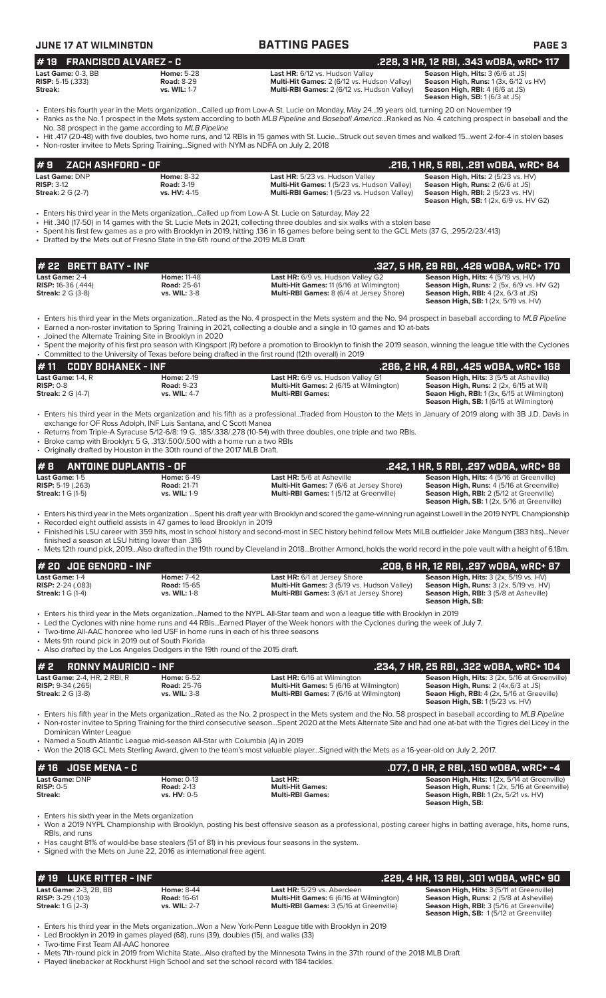| <b>JUNE 17 AT WILMINGTON</b>                                             |                                                                                                                                                                                                                            | <b>BATTING PAGES</b>                                                                                                                                                                                                                                                                                                                                                             | PAGE <sub>3</sub>                                                                                                                                                                 |
|--------------------------------------------------------------------------|----------------------------------------------------------------------------------------------------------------------------------------------------------------------------------------------------------------------------|----------------------------------------------------------------------------------------------------------------------------------------------------------------------------------------------------------------------------------------------------------------------------------------------------------------------------------------------------------------------------------|-----------------------------------------------------------------------------------------------------------------------------------------------------------------------------------|
| <b>FRANCISCO ALVAREZ - C</b><br>#19                                      |                                                                                                                                                                                                                            |                                                                                                                                                                                                                                                                                                                                                                                  | .228, 3 HR, 12 RBI, .343 WOBA, WRC+ 117                                                                                                                                           |
| Last Game: 0-3. BB<br><b>RISP:</b> 5-15 (.333)<br>Streak:                | <b>Home: 5-28</b><br><b>Road: 8-29</b><br>vs. WIL: 1-7                                                                                                                                                                     | Last HR: 6/12 vs. Hudson Valley<br>Multi-Hit Games: 2 (6/12 vs. Hudson Valley)<br>Multi-RBI Games: 2 (6/12 vs. Hudson Valley)                                                                                                                                                                                                                                                    | Season High, Hits: 3 (6/6 at JS)<br>Season High, Runs: 1 (3x, 6/12 vs HV)<br>Season High, RBI: 4 (6/6 at JS)<br>Season High, SB: 1 (6/3 at JS)                                    |
|                                                                          |                                                                                                                                                                                                                            | • Enters his fourth year in the Mets organizationCalled up from Low-A St. Lucie on Monday, May 2419 years old, turning 20 on November 19<br>• Ranks as the No. 1 prospect in the Mets system according to both MLB Pipeline and Baseball AmericaRanked as No. 4 catching prospect in baseball and the                                                                            |                                                                                                                                                                                   |
|                                                                          | No. 38 prospect in the game according to MLB Pipeline<br>• Non-roster invitee to Mets Spring TrainingSigned with NYM as NDFA on July 2, 2018                                                                               | • Hit .417 (20-48) with five doubles, two home runs, and 12 RBIs in 15 games with St. LucieStruck out seven times and walked 15went 2-for-4 in stolen bases                                                                                                                                                                                                                      |                                                                                                                                                                                   |
| #9<br>ZACH ASHFORD - OF                                                  |                                                                                                                                                                                                                            |                                                                                                                                                                                                                                                                                                                                                                                  | .216, 1 HR, 5 RBI, .291 wOBA, wRC+ 84                                                                                                                                             |
| Last Game: DNP<br><b>RISP: 3-12</b><br><b>Streak:</b> 2 G (2-7)          | <b>Home: 8-32</b><br><b>Road: 3-19</b><br>vs. HV: 4-15                                                                                                                                                                     | Last HR: 5/23 vs. Hudson Valley<br>Multi-Hit Games: 1 (5/23 vs. Hudson Valley)<br>Multi-RBI Games: 1 (5/23 vs. Hudson Valley)                                                                                                                                                                                                                                                    | Season High, Hits: 2 (5/23 vs. HV)<br>Season High, Runs: 2 (6/6 at JS)<br><b>Season High, RBI: 2 (5/23 vs. HV)</b><br><b>Season High, SB:</b> 1 (2x, 6/9 vs. HV G2)               |
|                                                                          | • Drafted by the Mets out of Fresno State in the 6th round of the 2019 MLB Draft                                                                                                                                           | · Enters his third year in the Mets organizationCalled up from Low-A St. Lucie on Saturday, May 22<br>• Hit .340 (17-50) in 14 games with the St. Lucie Mets in 2021, collecting three doubles and six walks with a stolen base<br>• Spent his first few games as a pro with Brooklyn in 2019, hitting .136 in 16 games before being sent to the GCL Mets (37 G, .295/2/23/.413) |                                                                                                                                                                                   |
| # 22 BRETT BATY - INF                                                    |                                                                                                                                                                                                                            |                                                                                                                                                                                                                                                                                                                                                                                  | .327, 5 HR, 29 RBI, .428 wOBA, wRC+ 170                                                                                                                                           |
| Last Game: 2-4                                                           | <b>Home: 11-48</b>                                                                                                                                                                                                         | Last HR: 6/9 vs. Hudson Valley G2                                                                                                                                                                                                                                                                                                                                                | Season High, Hits: 4 (5/19 vs. HV)                                                                                                                                                |
| <b>RISP:</b> 16-36 (.444)<br><b>Streak: 2 G (3-8)</b>                    | <b>Road: 25-61</b><br>vs. WIL: 3-8                                                                                                                                                                                         | Multi-Hit Games: 11 (6/16 at Wilmington)<br>Multi-RBI Games: 8 (6/4 at Jersey Shore)                                                                                                                                                                                                                                                                                             | Season High, Runs: 2 (5x, 6/9 vs. HV G2)<br><b>Season High, RBI:</b> $4$ ( $2x$ , $6/3$ at JS)<br><b>Season High, SB:</b> 1 (2x, 5/19 vs. HV)                                     |
|                                                                          | • Joined the Alternate Training Site in Brooklyn in 2020                                                                                                                                                                   | • Enters his third year in the Mets organizationRated as the No. 4 prospect in the Mets system and the No. 94 prospect in baseball according to MLB Pipeline<br>• Earned a non-roster invitation to Spring Training in 2021, collecting a double and a single in 10 games and 10 at-bats                                                                                         |                                                                                                                                                                                   |
|                                                                          |                                                                                                                                                                                                                            | · Spent the majority of his first pro season with Kingsport (R) before a promotion to Brooklyn to finish the 2019 season, winning the league title with the Cyclones<br>• Committed to the University of Texas before being drafted in the first round (12th overall) in 2019                                                                                                    |                                                                                                                                                                                   |
| #11<br><b>CODY BOHANEK - INF</b>                                         |                                                                                                                                                                                                                            |                                                                                                                                                                                                                                                                                                                                                                                  | .286, 2 HR, 4 RBI, .425 wOBA, wRC+ 168                                                                                                                                            |
| Last Game: 1-4, R<br><b>RISP: 0-8</b><br><b>Streak:</b> 2 G (4-7)        | <b>Home: 2-19</b><br><b>Road: 9-23</b><br>vs. WIL: 4-7                                                                                                                                                                     | Last HR: 6/9 vs. Hudson Valley G1<br>Multi-Hit Games: 2 (6/15 at Wilmington)<br><b>Multi-RBI Games:</b>                                                                                                                                                                                                                                                                          | Season High, Hits: 3 (5/5 at Asheville)<br>Season High, Runs: 2 (2x, 6/15 at Wil)<br>Seaon High, RBI: 1 (3x, 6/15 at Wilmington)<br>Season High, SB: 1 (6/15 at Wilmington)       |
|                                                                          |                                                                                                                                                                                                                            | • Enters his third year in the Mets organization and his fifth as a professionalTraded from Houston to the Mets in January of 2019 along with 3B J.D. Davis in                                                                                                                                                                                                                   |                                                                                                                                                                                   |
|                                                                          | exchange for OF Ross Adolph, INF Luis Santana, and C Scott Manea<br>• Broke camp with Brooklyn: 5 G, .313/.500/.500 with a home run a two RBIs<br>• Originally drafted by Houston in the 30th round of the 2017 MLB Draft. | • Returns from Triple-A Syracuse 5/12-6/8: 19 G, 185/.338/.278 (10-54) with three doubles, one triple and two RBIs.                                                                                                                                                                                                                                                              |                                                                                                                                                                                   |
| #8<br>ANTOINE DUPLANTIS - OF                                             |                                                                                                                                                                                                                            |                                                                                                                                                                                                                                                                                                                                                                                  | .242, 1 HR, 5 RBI, .297 wOBA, wRC+ 88                                                                                                                                             |
| Last Game: 1-5<br><b>RISP:</b> 5-19 $(.263)$<br><b>Streak:</b> 1 G (1-5) | <b>Home: 6-49</b><br><b>Road: 21-71</b><br>vs. WIL: 1-9                                                                                                                                                                    | <b>Last HR: 5/6 at Asheville</b><br>Multi-Hit Games: 7 (6/6 at Jersey Shore)<br>Multi-RBI Games: 1(5/12 at Greenville)                                                                                                                                                                                                                                                           | Season High, Hits: 4 (5/16 at Greenville)<br>Season High, Runs: 4 (5/16 at Greenville)<br>Season High, RBI: 2 (5/12 at Greenville)<br>Season High, SB: 1 (2x, 5/16 at Greenville) |
|                                                                          | • Recorded eight outfield assists in 47 games to lead Brooklyn in 2019                                                                                                                                                     | · Enters his third year in the Mets organization Spent his draft year with Brooklyn and scored the game-winning run against Lowell in the 2019 NYPL Championship                                                                                                                                                                                                                 |                                                                                                                                                                                   |
| finished a season at LSU hitting lower than .316                         |                                                                                                                                                                                                                            | • Finished his LSU career with 359 hits, most in school history and second-most in SEC history behind fellow Mets MiLB outfielder Jake Mangum (383 hits)Never                                                                                                                                                                                                                    |                                                                                                                                                                                   |
|                                                                          |                                                                                                                                                                                                                            | • Mets 12th round pick, 2019Also drafted in the 19th round by Cleveland in 2018Brother Armond, holds the world record in the pole vault with a height of 6.18m.                                                                                                                                                                                                                  |                                                                                                                                                                                   |
| # 20 JOE GENORD - INF                                                    |                                                                                                                                                                                                                            |                                                                                                                                                                                                                                                                                                                                                                                  | .208, 6 HR, 12 RBI, .297 wOBA, wRC+ 87                                                                                                                                            |
| Last Game: 1-4<br><b>RISP: 2-24 (.083)</b><br><b>Streak:</b> 1 G (1-4)   | <b>Home: 7-42</b><br><b>Road: 15-65</b><br>vs. WIL: 1-8                                                                                                                                                                    | Last HR: 6/1 at Jersey Shore<br>Multi-Hit Games: 3 (5/19 vs. Hudson Valley)<br>Multi-RBI Games: 3 (6/1 at Jersey Shore)                                                                                                                                                                                                                                                          | Season High, Hits: 3 (2x, 5/19 vs. HV)<br>Season High, Runs: 3 (2x, 5/19 vs. HV)<br>Season High, RBI: 3 (5/8 at Asheville)<br>Season High, SB:                                    |
|                                                                          |                                                                                                                                                                                                                            | • Enters his third year in the Mets organizationNamed to the NYPL All-Star team and won a league title with Brooklyn in 2019<br>• Led the Cyclones with nine home runs and 44 RBIsEarned Player of the Week honors with the Cyclones during the week of July 7.                                                                                                                  |                                                                                                                                                                                   |
| • Mets 9th round pick in 2019 out of South Florida                       | • Two-time All-AAC honoree who led USF in home runs in each of his three seasons<br>• Also drafted by the Los Angeles Dodgers in the 19th round of the 2015 draft.                                                         |                                                                                                                                                                                                                                                                                                                                                                                  |                                                                                                                                                                                   |
| #2<br><b>RONNY MAURICIO - INF</b>                                        |                                                                                                                                                                                                                            |                                                                                                                                                                                                                                                                                                                                                                                  | .234, 7 HR, 25 RBI, .322 wOBA, wRC+ 104                                                                                                                                           |
| Last Game: 2-4, HR, 2 RBI, R                                             | <b>Home: 6-52</b>                                                                                                                                                                                                          | Last HR: 6/16 at Wilmington                                                                                                                                                                                                                                                                                                                                                      | Season High, Hits: 3 (2x, 5/16 at Greenville)                                                                                                                                     |
| <b>RISP: 9-34 (.265)</b><br><b>Streak:</b> 2 G (3-8)                     | <b>Road: 25-76</b><br>vs. WIL: 3-8                                                                                                                                                                                         | Multi-Hit Games: 5 (6/16 at Wilmington)<br>Multi-RBI Games: 7 (6/16 at Wilmington)                                                                                                                                                                                                                                                                                               | Season High, Runs: 2 (4x, 6/3 at JS)<br>Seaon High, RBI: 4 (2x, 5/16 at Greeville)<br><b>Season High, SB: 1 (5/23 vs. HV)</b>                                                     |
| Dominican Winter League                                                  | • Named a South Atlantic League mid-season All-Star with Columbia (A) in 2019                                                                                                                                              | • Enters his fifth year in the Mets organizationRated as the No. 2 prospect in the Mets system and the No. 58 prospect in baseball according to MLB Pipeline<br>• Non-roster invitee to Spring Training for the third consecutive seasonSpent 2020 at the Mets Alternate Site and had one at-bat with the Tigres del Licey in the                                                |                                                                                                                                                                                   |
|                                                                          |                                                                                                                                                                                                                            | • Won the 2018 GCL Mets Sterling Award, given to the team's most valuable playerSigned with the Mets as a 16-year-old on July 2, 2017.                                                                                                                                                                                                                                           |                                                                                                                                                                                   |
| <b>JOSE MENA - C</b><br>#16                                              |                                                                                                                                                                                                                            |                                                                                                                                                                                                                                                                                                                                                                                  | .077, 0 HR, 2 RBI, .150 w0BA, wRC+ -4                                                                                                                                             |
| Last Game: DNP<br><b>RISP: 0-5</b><br>Streak:                            | <b>Home: 0-13</b><br><b>Road: 2-13</b><br>vs. HV: 0-5                                                                                                                                                                      | Last HR:<br><b>Multi-Hit Games:</b><br><b>Multi-RBI Games:</b>                                                                                                                                                                                                                                                                                                                   | Season High, Hits: 1 (2x, 5/14 at Greenville)<br>Season High, Runs: 1 (2x, 5/16 at Greenville)<br><b>Season High, RBI:</b> 1 (2x, 5/21 vs. HV)<br>Season High, SB:                |
| • Enters his sixth year in the Mets organization                         |                                                                                                                                                                                                                            | • Won a 2019 NYPL Championship with Brooklyn, posting his best offensive season as a professional, posting career highs in batting average, hits, home runs,                                                                                                                                                                                                                     |                                                                                                                                                                                   |
| RBIs, and runs                                                           | • Signed with the Mets on June 22, 2016 as international free agent.                                                                                                                                                       | • Has caught 81% of would-be base stealers (51 of 81) in his previous four seasons in the system.                                                                                                                                                                                                                                                                                |                                                                                                                                                                                   |
|                                                                          |                                                                                                                                                                                                                            |                                                                                                                                                                                                                                                                                                                                                                                  |                                                                                                                                                                                   |
| <b>LUKE RITTER - INF</b><br>#19                                          |                                                                                                                                                                                                                            |                                                                                                                                                                                                                                                                                                                                                                                  | .229, 4 HR, 13 RBI, .301 wOBA, wRC+ 90                                                                                                                                            |

Exast Game: 2-3, 2B, BB<br> **Season High, Hits: 3** (5/12 at Greenville)<br> **Season High, Hits: 3** (5/12 at Greenville)<br> **Season High, Runs:** 2 (5/8 at Asheville)<br> **Season High, Runs:** 2 (5/8 at Asheville)<br> **Season High, Runs:**

• Enters his third year in the Mets organization...Won a New York-Penn League title with Brooklyn in 2019

• Led Brooklyn in 2019 in games played (68), runs (39), doubles (15), and walks (33)

• Two-time First Team All-AAC honoree

• Mets 7th-round pick in 2019 from Wichita State...Also drafted by the Minnesota Twins in the 37th round of the 2018 MLB Draft • Played linebacker at Rockhurst High School and set the school record with 184 tackles.

**Last Game:** 2-3, 2B, BB **Home:** 8-44 **Last HR:** 5/29 vs. Aberdeen **Season High, Hits:** 3 (5/11 at Greenville) **RISP:** 3-29 (.103) **Road:** 16-61 **Multi-Hit Games:** 6 (6/16 at Wilmington) **Season High, Runs:** 2 (5/8 at Asheville) **Streak:** 1 G (2-3) **vs. WIL:** 2-7 **Multi-RBI Games:** 3 (5/16 at Greenville) **Season High, RBI:** 3 (5/16 at Greenville)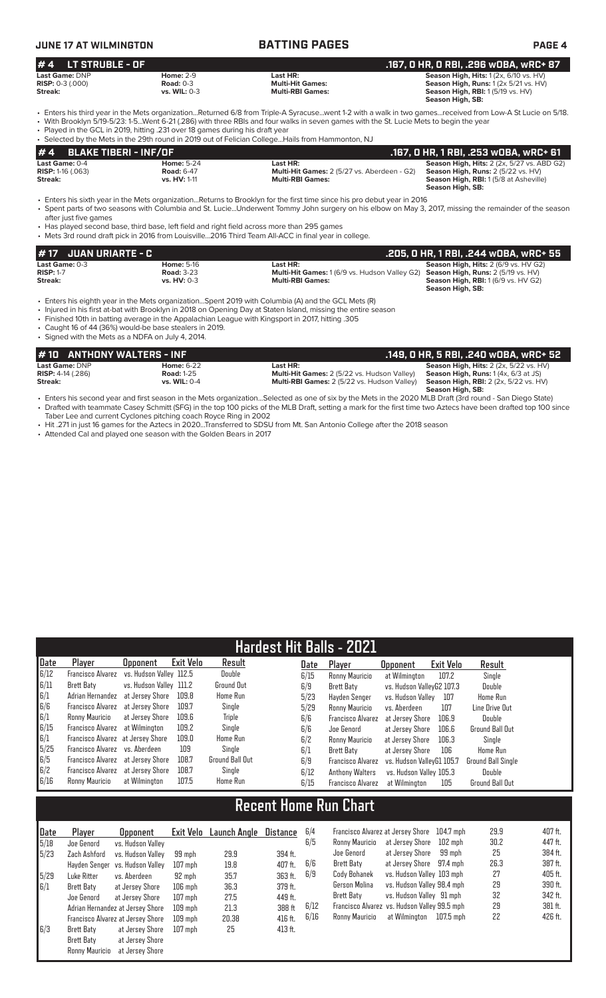### **JUNE 17 AT WILMINGTON BATTING PAGES PAGE 4**

| $# 4$ LT STRUBLE - OF   |                     |                         | . .167, O HR, O RBI, .296 wOBA, wRC+ 87'                    |
|-------------------------|---------------------|-------------------------|-------------------------------------------------------------|
| Last Game: DNP          | <b>Home: 2-9</b>    | Last HR:                | <b>Season High, Hits:</b> $1(2x, 6/10 \text{ vs. HV})$      |
| <b>RISP:</b> 0-3 (.000) | Road: $0-3$         | <b>Multi-Hit Games:</b> | <b>Season High, Runs:</b> $1(2 \times 5/21 \text{ vs. HV})$ |
| <b>Streak:</b>          | <b>vs. WIL: 0-3</b> | <b>Multi-RBI Games:</b> | <b>Season High, RBI:</b> 1 (5/19 vs. HV)                    |
|                         |                     |                         | Season High, SB:                                            |
|                         |                     |                         |                                                             |

• Enters his third year in the Mets organization...Returned 6/8 from Triple-A Syracuse...went 1-2 with a walk in two games...received from Low-A St Lucie on 5/18. • With Brooklyn 5/19-5/23: 1-5...Went 6-21 (.286) with three RBIs and four walks in seven games with the St. Lucie Mets to begin the year • Played in the GCL in 2019, hitting .231 over 18 games during his draft year

• Selected by the Mets in the 29th round in 2019 out of Felician College...Hails from Hammonton, NJ

|                             | . Selected by the Mets in the Z3th found in Z013 out of Felician CollegeFialls home rammonton, in |                                                    |                                                    |  |  |  |  |  |  |
|-----------------------------|---------------------------------------------------------------------------------------------------|----------------------------------------------------|----------------------------------------------------|--|--|--|--|--|--|
| $# 4$ BLAKE TIBERI - INF/OF |                                                                                                   |                                                    | . .167, O HR, 1 RBI, .253 wOBA, wRC+ 61            |  |  |  |  |  |  |
| Last Game: 0-4              | <b>Home: 5-24</b>                                                                                 | Last HR:                                           | <b>Season High, Hits: 2 (2x, 5/27 vs. ABD G2)</b>  |  |  |  |  |  |  |
| <b>RISP:</b> 1-16 $(.063)$  | <b>Road: 6-47</b>                                                                                 | <b>Multi-Hit Games: 2 (5/27 vs. Aberdeen - G2)</b> | <b>Season High, Runs:</b> $2(5/22 \text{ vs. HV})$ |  |  |  |  |  |  |
| Streak:                     | vs. HV: 1-11                                                                                      | <b>Multi-RBI Games:</b>                            | <b>Season High, RBI:</b> 1(5/8 at Asheville)       |  |  |  |  |  |  |
|                             |                                                                                                   |                                                    | Concor High CD.                                    |  |  |  |  |  |  |

**Season High, SB:** 

• Enters his sixth year in the Mets organization...Returns to Brooklyn for the first time since his pro debut year in 2016 • Spent parts of two seasons with Columbia and St. Lucie...Underwent Tommy John surgery on his elbow on May 3, 2017, missing the remainder of the season after just five games

• Has played second base, third base, left field and right field across more than 295 games • Mets 3rd round draft pick in 2016 from Louisville...2016 Third Team All-ACC in final y

|                       | 1# 17   JUAN URIARTE - C |                                                                                                | . .205, 0 HR, 1 RBI, .244 wOBA, wRC+ 55     |
|-----------------------|--------------------------|------------------------------------------------------------------------------------------------|---------------------------------------------|
| <b>Last Game:</b> 0-3 | <b>Home: 5-16</b>        | Last HR:                                                                                       | <b>Season High, Hits: 2 (6/9 vs. HV G2)</b> |
| <b>RISP: 1-7</b>      | <b>Road: 3-23</b>        | <b>Multi-Hit Games:</b> 1 (6/9 vs. Hudson Valley G2) <b>Season High, Runs:</b> 2 (5/19 vs. HV) |                                             |
| Streak:               | $vs. HV: 0-3$            | <b>Multi-RBI Games:</b>                                                                        | <b>Season High, RBI:</b> 1(6/9 vs. HV G2)   |
|                       |                          |                                                                                                | Season High, SB:                            |

• Enters his eighth year in the Mets organization...Spent 2019 with Columbia (A) and the GCL Mets (R)

• Injured in his first at-bat with Brooklyn in 2018 on Opening Day at Staten Island, missing the entire season

• Finished 10th in batting average in the Appalachian League with Kingsport in 2017, hitting .305

• Caught 16 of 44 (36%) would-be base stealers in 2019. • Signed with the Mets as a NDFA on July 4, 2014.

| #10 ANTHONY WALTERS - INF    |                     |                                                                                                                                                                                                                                                                                                                                 | . .149, O HR, 5 RBI, .240 wOBA, wRC+ 52                  |
|------------------------------|---------------------|---------------------------------------------------------------------------------------------------------------------------------------------------------------------------------------------------------------------------------------------------------------------------------------------------------------------------------|----------------------------------------------------------|
| Last Game: DNP               | <b>Home: 6-22</b>   | Last HR:                                                                                                                                                                                                                                                                                                                        | <b>Season High, Hits:</b> $2$ ( $2x$ , $5/22$ vs. $HV$ ) |
| <b>RISP:</b> $4-14$ $(.286)$ | <b>Road: 1-25</b>   | <b>Multi-Hit Games:</b> 2 (5/22 vs. Hudson Valley)                                                                                                                                                                                                                                                                              | <b>Season High, Runs:</b> $1(4x, 6/3$ at JS)             |
| Streak:                      | <b>vs. WIL: 0-4</b> | Multi-RBI Games: 2 (5/22 vs. Hudson Valley)                                                                                                                                                                                                                                                                                     | <b>Season High, RBI:</b> 2 (2x, 5/22 vs. HV)             |
|                              |                     |                                                                                                                                                                                                                                                                                                                                 | Season High, SB:                                         |
|                              |                     | $\mathcal{L}$ , $\mathcal{L}$ , $\mathcal{L}$ , $\mathcal{L}$ , $\mathcal{L}$ , $\mathcal{L}$ , $\mathcal{L}$ , $\mathcal{L}$ , $\mathcal{L}$ , $\mathcal{L}$ , $\mathcal{L}$ , $\mathcal{L}$ , $\mathcal{L}$ , $\mathcal{L}$ , $\mathcal{L}$ , $\mathcal{L}$ , $\mathcal{L}$ , $\mathcal{L}$ , $\mathcal{L}$ , $\mathcal{L}$ , |                                                          |

• Enters his second year and first season in the Mets organization...Selected as one of six by the Mets in the 2020 MLB Draft (3rd round - San Diego State) • Drafted with teammate Casey Schmitt (SFG) in the top 100 picks of the MLB Draft, setting a mark for the first time two Aztecs have been drafted top 100 since Taber Lee and current Cyclones pitching coach Royce Ring in 2002

• Hit .271 in just 16 games for the Aztecs in 2020...Transferred to SDSU from Mt. San Antonio College after the 2018 season

• Attended Cal and played one season with the Golden Bears in 2017

| <b>Hardest Hit Balls - 2021</b>                   |                                   |                         |           |                        |      |                          |                           |                  |                           |
|---------------------------------------------------|-----------------------------------|-------------------------|-----------|------------------------|------|--------------------------|---------------------------|------------------|---------------------------|
| Date                                              | Player                            | <b>Opponent</b>         | Exit Velo | Result                 | Date | Plaver                   | <b>Opponent</b>           | <b>Exit Velo</b> | Result                    |
| 6/12                                              | <b>Francisco Alvarez</b>          | vs. Hudson Vallev 112.5 |           | Double                 | 6/15 | Ronny Mauricio           | at Wilmington             | 107.2            | Single                    |
| 6/11                                              | Brett Baty                        | vs. Hudson Valley 111.2 |           | <b>Ground Out</b>      | 6/9  | Brett Baty               | vs. Hudson ValleyG2 107.3 |                  | Double                    |
| $\begin{bmatrix} 6/1 \\ 6/6 \\ 6/1 \end{bmatrix}$ | Adrian Hernandez                  | at Jersev Shore         | 109.8     | <b>Home Run</b>        | 5/23 | Havden Senger            | vs. Hudson Vallev         | 107              | <b>Home Run</b>           |
|                                                   | <b>Francisco Alvarez</b>          | at Jersev Shore         | 109.7     | Single                 | 5/29 | Ronny Mauricio           | vs. Aberdeen              | 107              | Line Drive Out            |
|                                                   | Ronny Mauricio                    | at Jersev Shore         | 109.6     | Triple                 | 6/6  | <b>Francisco Alvarez</b> | at Jersev Shore           | 106.9            | Double                    |
| 6/15                                              | Francisco Alvarez at Wilmington   |                         | 109.2     | Single                 | 6/6  | Joe Genord               | at Jersey Shore           | 106.6            | <b>Ground Ball Out</b>    |
|                                                   | Francisco Alvarez at Jersey Shore |                         | 109.0     | <b>Home Run</b>        | 6/2  | Ronny Mauricio           | at Jersev Shore           | 106.3            | Single                    |
| $\frac{6}{15}$                                    | Francisco Alvarez vs. Aberdeen    |                         | 109       | Single                 | 6/1  | Brett Baty               | at Jersey Shore           | 106              | <b>Home Run</b>           |
|                                                   | Francisco Alvarez at Jersey Shore |                         | 108.7     | <b>Ground Ball Out</b> | 6/9  | Francisco Alvarez        | vs. Hudson VallevG1 105.7 |                  | <b>Ground Ball Single</b> |
| $\begin{array}{c} 6/5 \\ 6/2 \end{array}$         | Francisco Alvarez                 | at Jersey Shore         | 108.7     | Single                 | 6/12 | <b>Anthony Walters</b>   | vs. Hudson Valley 105.3   |                  | Double                    |
| 6/16                                              | Ronny Mauricio                    | at Wilmington           | 107.5     | <b>Home Run</b>        | 6/15 | Francisco Alvarez        | at Wilmington             | 105              | <b>Ground Ball Out</b>    |

## **Recent Home Run Chart**

| Date | Plaver         | <b>Opponent</b>                   | Exit Velo | <b>Launch Angle</b> | Distance  | 6/4  | Francisco Alvarez at Jersev Shore |                                              | 104.7 mph | 29.9 | 407 ft. |
|------|----------------|-----------------------------------|-----------|---------------------|-----------|------|-----------------------------------|----------------------------------------------|-----------|------|---------|
| 5/18 | Joe Genord     | vs. Hudson Valley                 |           |                     |           | 6/5  | Ronny Mauricio                    | at Jersey Shore                              | 102 mph   | 30.2 | 447 ft. |
| 5/23 | Zach Ashford   | vs. Hudson Valley                 | 99 mph    | 29.9                | 394 ft.   |      | Joe Genord                        | at Jersev Shore                              | 99 mph    | 25   | 384 ft. |
|      |                | Hayden Senger vs. Hudson Valley   | $107$ mph | 19.8                | 407 ft.   | 6/6  | Brett Baty                        | at Jersev Shore                              | 97.4 mph  | 26.3 | 387 ft. |
| 5/29 | Luke Ritter    | vs. Aberdeen                      | 92 mph    | 35.7                | 363 ft.   | 6/9  | Cody Bohanek                      | vs. Hudson Vallev 103 mph                    |           | 27   | 405 ft. |
| 6/1  | Brett Baty     | at Jersey Shore                   | $106$ mph | 36.3                | 379 ft.   |      | Gerson Molina                     | vs. Hudson Valley 98.4 mph                   |           | 29   | 390 ft. |
|      | Joe Genord     | at Jersev Shore                   | $107$ mph | 27.5                | 449 ft.   |      | Brett Baty                        | vs. Hudson Valley 91 mph                     |           | 32   | 342 ft. |
|      |                | Adrian Hernandez at Jersev Shore  | $109$ mph | 21.3                | 388 ft    | 6/12 |                                   | Francisco Alvarez vs. Hudson Valley 99.5 mph |           | 29   | 381 ft. |
|      |                | Francisco Alvarez at Jersey Shore | $109$ mph | 20.38               | $416$ ft. | 6/16 | Ronny Mauricio                    | at Wilmington                                | 107.5 mph | 22   | 426 ft. |
| 6/3  | Brett Baty     | at Jersey Shore                   | $107$ mph | 25                  | $413$ ft. |      |                                   |                                              |           |      |         |
|      | Brett Baty     | at Jersev Shore                   |           |                     |           |      |                                   |                                              |           |      |         |
|      | Ronny Mauricio | at Jersev Shore                   |           |                     |           |      |                                   |                                              |           |      |         |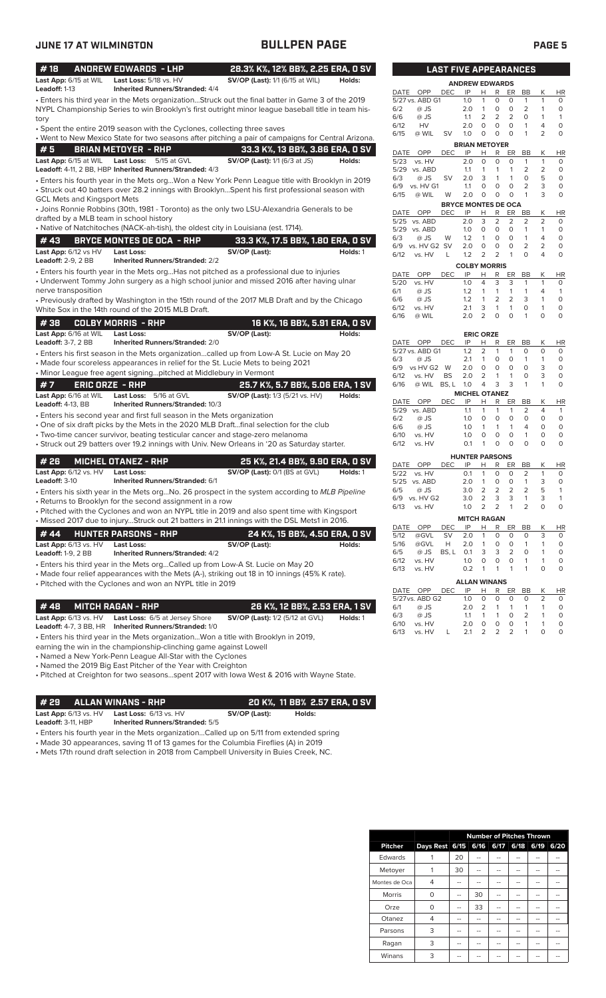| JUNE 17 AT WILMINGTON                   |                                                                                                                                                                                                         | <b>BULLPEN PAGE</b>                    |          |                                         |                              |                                               |                                     |                                | <b>PAGE 5</b>                |                         |
|-----------------------------------------|---------------------------------------------------------------------------------------------------------------------------------------------------------------------------------------------------------|----------------------------------------|----------|-----------------------------------------|------------------------------|-----------------------------------------------|-------------------------------------|--------------------------------|------------------------------|-------------------------|
| #18                                     | <b>ANDREW EDWARDS - LHP</b>                                                                                                                                                                             | 28.3% K%, 12% BB%, 2.25 ERA, 0 SV      |          |                                         | <b>LAST FIVE APPEARANCES</b> |                                               |                                     |                                |                              |                         |
| Last App: 6/15 at WIL<br>Leadoff: 1-13  | Last Loss: 5/18 vs. HV<br><b>Inherited Runners/Stranded: 4/4</b>                                                                                                                                        | SV/OP (Last): 1/1 (6/15 at WIL)        | Holds:   |                                         | <b>ANDREW EDWARDS</b>        |                                               |                                     |                                |                              |                         |
|                                         |                                                                                                                                                                                                         |                                        |          | DATE<br>OPP<br>DEC.<br>5/27 vs. ABD G1  | IP<br>1.0                    | н<br>R<br>1<br>0                              | ER<br>0                             | BB<br>$\mathbf{1}$             | К<br>$\mathbf{1}$            | HR<br>$\circ$           |
|                                         | Enters his third year in the Mets organizationStruck out the final batter in Game 3 of the 2019 •<br>NYPL Championship Series to win Brooklyn's first outright minor league baseball title in team his- |                                        |          | 6/2<br>@ JS                             | 2.0                          | $\overline{1}$<br>0                           | $\circ$                             | 2                              | $\mathbf{1}$                 | $\circ$                 |
| tory                                    |                                                                                                                                                                                                         |                                        |          | 6/6<br>$@$ JS                           | 1.1                          | 2<br>2                                        | $\overline{2}$                      | $\circ$                        | $\mathbf{1}$                 | $\mathbf{1}$            |
|                                         | • Spent the entire 2019 season with the Cyclones, collecting three saves                                                                                                                                |                                        |          | 6/12<br>HV                              | 2.0                          | $\circ$<br>0                                  | $\circ$                             | $\mathbf{1}$                   | 4                            | $\circ$                 |
|                                         | . Went to New Mexico State for two seasons after pitching a pair of campaigns for Central Arizona.                                                                                                      |                                        |          | 6/15<br>@ WIL<br>SV                     | 1.0                          | $\circ$<br>0                                  | $\circ$                             | $\mathbf{1}$                   | $\overline{2}$               | $\circ$                 |
| #5                                      | <b>BRIAN METOYER - RHP</b>                                                                                                                                                                              | 33.3 K%, 13 BB%, 3.86 ERA, 0 SV        |          | DATE<br>OPP<br><b>DEC</b>               | IP                           | <b>BRIAN METOYER</b><br>R                     | ER                                  | BB                             | Κ                            |                         |
| Last App: 6/15 at WIL                   | Last Loss:<br>5/15 at GVL                                                                                                                                                                               | <b>SV/OP (Last):</b> 1/1 (6/3 at JS)   | Holds:   | 5/23<br>vs. HV                          | 2.0                          | Н<br>$\circ$<br>O                             | $\circ$                             | $\mathbf{1}$                   | $\mathbf{1}$                 | HR<br>$\circ$           |
|                                         | Leadoff: 4-11, 2 BB, HBP Inherited Runners/Stranded: 4/3                                                                                                                                                |                                        |          | 5/29<br>vs. ABD                         | 1.1                          | 1<br>1                                        | $\mathbf{1}$                        | 2                              | 2                            | $\circ$                 |
|                                         | · Enters his fourth year in the Mets orgWon a New York Penn League title with Brooklyn in 2019                                                                                                          |                                        |          | <b>SV</b><br>6/3<br>@ JS                | 2.0                          | 3<br>$\mathbf{1}$                             | $\mathbf{1}$                        | $\circ$                        | 5                            | $\circ$                 |
|                                         | · Struck out 40 batters over 28.2 innings with BrooklynSpent his first professional season with                                                                                                         |                                        |          | 6/9<br>vs. HV G1<br>6/15<br>@ WIL<br>W  | 1.1<br>2.0                   | $\circ$<br>O<br>$\circ$<br>$\circ$            | $\circ$<br>$\circ$                  | 2<br>$\mathbf{1}$              | 3<br>3                       | $\circ$<br>$\circ$      |
| GCL Mets and Kingsport Mets             |                                                                                                                                                                                                         |                                        |          |                                         | <b>BRYCE MONTES DE OCA</b>   |                                               |                                     |                                |                              |                         |
|                                         | • Joins Ronnie Robbins (30th, 1981 - Toronto) as the only two LSU-Alexandria Generals to be                                                                                                             |                                        |          | OPP<br>DATE<br><b>DEC</b>               | IP                           | H<br>R                                        |                                     | ER BB                          | Κ                            | HR                      |
| drafted by a MLB team in school history |                                                                                                                                                                                                         |                                        |          | 5/25 vs. ABD                            | 2.0                          | 3<br>2                                        | $\overline{2}$                      | 2                              | $\overline{2}$               | $\circ$                 |
|                                         | • Native of Natchitoches (NACK-ah-tish), the oldest city in Louisiana (est. 1714).                                                                                                                      |                                        |          | 5/29<br>vs. ABD                         | 1.0                          | $\mathbf 0$<br>0                              | $\circ$                             | $\mathbf{1}$                   | $\mathbf{1}$                 | $\circ$                 |
| #43                                     | <b>BRYCE MONTES DE OCA - RHP</b>                                                                                                                                                                        | 33.3 K%, 17.5 BB%, 1.80 ERA, 0 SV      |          | 6/3<br>@ JS<br>W<br>vs. HV G2 SV<br>6/9 | 1.2<br>2.0                   | $\mathbf{1}$<br>0<br>$\mathsf{O}\xspace$<br>0 | $\circ$<br>$\circ$                  | $\mathbf{1}$<br>$\overline{2}$ | 4<br>2                       | $\circ$<br>$\circ$      |
| Last App: 6/12 vs HV                    | <b>Last Loss:</b>                                                                                                                                                                                       | SV/OP (Last):                          | Holds: 1 | 6/12<br>vs. HV<br>L                     | 1.2                          | $\overline{2}$<br>2                           | $\mathbf{1}$                        | $\circ$                        | $\overline{4}$               | $\circ$                 |
| <b>Leadoff: 2-9, 2 BB</b>               | Inherited Runners/Stranded: 2/2                                                                                                                                                                         |                                        |          |                                         |                              | <b>COLBY MORRIS</b>                           |                                     |                                |                              |                         |
|                                         | $\bullet$ Enters his fourth year in the Mets orgHas not pitched as a professional due to injuries                                                                                                       |                                        |          | DATE<br>OPP<br><b>DEC</b>               | IP                           | Н<br>R                                        | ER                                  | BB                             | Κ                            | <b>HR</b>               |
|                                         | • Underwent Tommy John surgery as a high school junior and missed 2016 after having ulnar                                                                                                               |                                        |          | 5/20<br>vs. HV                          | 1.0                          | $\overline{4}$<br>3                           | 3                                   | $\mathbf{1}$                   | $\mathbf{1}$                 | $\circ$                 |
| nerve transposition                     |                                                                                                                                                                                                         |                                        |          | 6/1<br>@ JS                             | 1.2                          | $\mathbf{1}$<br>$\mathbf{1}$                  | 1                                   | $\mathbf{1}$                   | 4                            | $\mathbf{1}$            |
|                                         | • Previously drafted by Washington in the 15th round of the 2017 MLB Draft and by the Chicago                                                                                                           |                                        |          | @ JS<br>6/6<br>6/12<br>vs. HV           | 1.2<br>2.1                   | $\mathbf{1}$<br>2<br>3<br>$\mathbf{1}$        | 2<br>$\mathbf{1}$                   | 3<br>$\circ$                   | $\mathbf{1}$<br>$\mathbf{1}$ | $\circ$<br>$\circ$      |
|                                         | White Sox in the 14th round of the 2015 MLB Draft.                                                                                                                                                      |                                        |          | 6/16<br>@ WIL                           | 2.0                          | $\overline{2}$<br>$\circ$                     | $\circ$                             | $\mathbf{1}$                   | 0                            | $\circ$                 |
| #38                                     | <b>COLBY MORRIS - RHP</b>                                                                                                                                                                               | 16 K%, 16 BB%, 5.91 ERA, 0 SV          |          |                                         |                              |                                               |                                     |                                |                              |                         |
| Last App: 6/16 at WIL                   | <b>Last Loss:</b>                                                                                                                                                                                       | SV/OP (Last):                          | Holds:   |                                         |                              | <b>ERIC ORZE</b>                              |                                     |                                |                              |                         |
| <b>Leadoff: 3-7, 2 BB</b>               | <b>Inherited Runners/Stranded: 2/0</b>                                                                                                                                                                  |                                        |          | DATE OPP<br><b>DEC</b>                  | IP                           | R<br>Н                                        | ER                                  | BB                             | К                            | <b>HR</b>               |
|                                         | Enters his first season in the Mets organizationcalled up from Low-A St. Lucie on May 20 •                                                                                                              |                                        |          | 5/27 vs. ABD G1<br>@ JS<br>6/3          | 1.2<br>2.1                   | 2<br>$\mathbf{1}$<br>1<br>0                   | $\mathbf{1}$<br>$\circ$             | 0<br>$\mathbf{1}$              | 0<br>1                       | $\circ$<br>$\circ$      |
|                                         | • Made four scoreless appearances in relief for the St. Lucie Mets to being 2021                                                                                                                        |                                        |          | 6/9<br>vs HV G2 W                       | 2.0                          | $\circ$<br>0                                  | $\circ$                             | $\circ$                        | 3                            | $\circ$                 |
|                                         | • Minor League free agent signingpitched at Middlebury in Vermont                                                                                                                                       |                                        |          | 6/12<br>vs. HV<br>BS                    | 2.0                          | $\overline{2}$<br>$\mathbf{1}$                | $\mathbf{1}$                        | $\circ$                        | 3                            | $\mathsf O$             |
| #7                                      | <b>ERIC ORZE - RHP</b>                                                                                                                                                                                  | 25.7 K%, 5.7 BB%, 5.06 ERA, 1 SV       |          | 6/16<br>@ WIL                           | BS, L 1.0                    | $\overline{4}$<br>3                           | 3                                   | $\mathbf{1}$                   | $\mathbf{1}$                 | $\circ$                 |
| Last App: 6/16 at WIL                   | Last Loss: 5/16 at GVL                                                                                                                                                                                  | <b>SV/OP (Last):</b> 1/3 (5/21 vs. HV) | Holds:   | OPP<br>DATE<br><b>DEC</b>               | IP                           | <b>MICHEL OTANEZ</b><br>н<br>R                | ER                                  | BB                             | К                            | HR                      |
| <b>Leadoff:</b> 4-13, BB                | Inherited Runners/Stranded: 10/3                                                                                                                                                                        |                                        |          | 5/29 vs. ABD                            | 1.1                          | $\mathbf{1}$<br>$\mathbf{1}$                  | $\mathbf{1}$                        | 2                              | 4                            | $\overline{1}$          |
|                                         | • Enters his second year and first full season in the Mets organization                                                                                                                                 |                                        |          | @ JS<br>6/2                             | 1.0                          | 0<br>0                                        | $\circ$                             | $\circ$                        | 0                            | $\circ$                 |
|                                         | One of six draft picks by the Mets in the 2020 MLB Draftfinal selection for the club<br>· Two-time cancer survivor, beating testicular cancer and stage-zero melanoma                                   |                                        |          | 6/6<br>@ JS                             | 1.0                          | $\mathbf{1}$<br>$\mathbf{1}$                  | $\mathbf{1}$                        | 4                              | 0                            | $\circ$                 |
|                                         | • Struck out 29 batters over 19.2 innings with Univ. New Orleans in '20 as Saturday starter.                                                                                                            |                                        |          | 6/10<br>vs. HV<br>6/12<br>vs. HV        | 1.0<br>0.1                   | $\circ$<br>$\circ$<br>$\circ$<br>$\mathbf{1}$ | $\circ$<br>$\circ$                  | $\mathbf{1}$<br>$\circ$        | $\Omega$<br>$\circ$          | $\circ$<br>$\circ$      |
|                                         |                                                                                                                                                                                                         |                                        |          |                                         |                              |                                               |                                     |                                |                              |                         |
| # 26                                    | <b>MICHEL OTANEZ - RHP</b>                                                                                                                                                                              | 25 K%, 21.4 BB%, 9.90 ERA, 0 SV        |          | DATE OPP<br><b>DEC</b>                  | <b>HUNTER PARSONS</b><br>IP  | R<br>н                                        | ER                                  | BB                             | Κ                            | HR                      |
| Last App: 6/12 vs. HV                   | <b>Last Loss:</b>                                                                                                                                                                                       | SV/OP (Last): 0/1 (BS at GVL)          | Holds: 1 | 5/22 vs. HV                             | 0.1                          | 0<br>$\overline{1}$                           | $\circ$                             | 2                              | $\mathbf{1}$                 | $\circ$                 |
| Leadoff: 3-10                           | <b>Inherited Runners/Stranded: 6/1</b>                                                                                                                                                                  |                                        |          | 5/25 vs. ABD                            | 2.0                          | 0<br>$\overline{1}$                           | $\circ$                             | $\mathbf{1}$                   | 3                            | 0                       |
|                                         | Enters his sixth year in the Mets orgNo. 26 prospect in the system according to MLB Pipeline                                                                                                            |                                        |          | 6/5<br>@ JS                             | 3.0                          | $\overline{2}$<br>2                           | $\overline{2}$                      | $\overline{2}$                 | 5                            | 1                       |
|                                         | Returns to Brooklyn for the second assignment in a row                                                                                                                                                  |                                        |          | 6/9<br>vs. HV G2<br>vs. HV<br>6/13      | 3.0<br>1.0                   | $\overline{2}$<br>3<br>2<br>2                 | 3<br>$\mathbf{1}$                   | 1<br>$\overline{2}$            | 3<br>0                       | $\mathbf{1}$<br>$\circ$ |
|                                         | • Pitched with the Cyclones and won an NYPL title in 2019 and also spent time with Kingsport                                                                                                            |                                        |          |                                         |                              |                                               |                                     |                                |                              |                         |
|                                         | . Missed 2017 due to injuryStruck out 21 batters in 21.1 innings with the DSL Mets1 in 2016.                                                                                                            |                                        |          | OPP<br>DEC<br>DATE                      | IP                           | <b>MITCH RAGAN</b><br>Н<br>R                  | ER                                  | BB                             | Κ                            | HR                      |
| #44                                     | <b>HUNTER PARSONS - RHP</b>                                                                                                                                                                             | 24 K%, 15 BB%, 4.50 ERA, 0 SV          |          | 5/12<br>@GVL<br><b>SV</b>               | 2.0                          | 0<br>1                                        | 0                                   | 0                              | 3                            | 0                       |
| Last App: 6/13 vs. HV                   | <b>Last Loss:</b>                                                                                                                                                                                       | SV/OP (Last):                          | Holds:   | 5/16<br>@GVL<br>Н                       | 2.0                          | 1<br>0                                        | 0                                   | $\mathbf{1}$                   | 1                            | 0                       |
| <b>Leadoff:</b> 1-9, 2 BB               | <b>Inherited Runners/Stranded: 4/2</b>                                                                                                                                                                  |                                        |          | 6/5<br>@ JS                             | BS, L 0.1                    | 3<br>3                                        | $\overline{2}$                      | 0                              | 1                            | 0                       |
|                                         | • Enters his third year in the Mets orgCalled up from Low-A St. Lucie on May 20                                                                                                                         |                                        |          | 6/12<br>vs. HV<br>6/13<br>vs. HV        | 1.0<br>0.2                   | 0<br>0<br>$\overline{1}$<br>$\mathbf{1}$      | $\mathsf{O}\xspace$<br>$\mathbf{1}$ | 1<br>$\mathbf{1}$              | 1<br>0                       | 0<br>$\mathsf O$        |
|                                         | • Made four relief appearances with the Mets (A-), striking out 18 in 10 innings (45% K rate).                                                                                                          |                                        |          |                                         |                              |                                               |                                     |                                |                              |                         |
|                                         | • Pitched with the Cyclones and won an NYPL title in 2019                                                                                                                                               |                                        |          | DATE OPP<br><b>DEC</b>                  | IP                           | <b>ALLAN WINANS</b><br>R<br>н                 | ER                                  | BB                             | К                            | $\overline{HR}$         |
|                                         |                                                                                                                                                                                                         |                                        |          | 5/27 vs. ABD G2                         | 1.0                          | 0<br>0                                        | 0                                   | 0                              | 2                            | 0                       |
| #48                                     | <b>MITCH RAGAN - RHP</b>                                                                                                                                                                                | 26 K%, 12 BB%, 2.53 ERA, 1 SV          |          | @ JS<br>6/1                             | 2.0                          | 2<br>$\mathbf{1}$                             | $\mathbf{1}$                        | $\mathbf{1}$                   | 1                            | 0                       |
| Last App: 6/13 vs. HV                   | Last Loss: 6/5 at Jersey Shore                                                                                                                                                                          | <b>SV/OP (Last):</b> 1/2 (5/12 at GVL) | Holds: 1 | 6/3<br>@ JS                             | 1.1                          | $\mathbf{1}$<br>1                             | 0                                   | 2                              | 1                            | $\circ$                 |
| <b>Leadoff:</b> 4-7, 3 BB, HR           | <b>Inherited Runners/Stranded: 1/0</b>                                                                                                                                                                  |                                        |          | 6/10<br>vs. HV<br>6/13<br>vs. HV<br>L   | 2.0<br>2.1                   | $\circ$<br>0<br>2<br>$\overline{2}$           | 0<br>$\overline{2}$                 | $\mathbf{1}$<br>$\mathbf{1}$   | 1<br>0                       | 0<br>0                  |
|                                         |                                                                                                                                                                                                         |                                        |          |                                         |                              |                                               |                                     |                                |                              |                         |

• Enters his third year in the Mets organization...Won a title with Brooklyn in 2019,

earning the win in the championship-clinching game against Lowell

• Named a New York-Penn League All-Star with the Cyclones

• Named the 2019 Big East Pitcher of the Year with Creighton

• Pitched at Creighton for two seasons...spent 2017 with Iowa West & 2016 with Wayne State.

## **# 29 ALLAN WINANS - RHP 20 K%, 11 BB% 2.57 ERA, 0 SV**<br>
Last App: 6/13 vs. HV Last Loss: 6/13 vs. HV **SV/OP (Last):** Holds:

**Last App:** 6/13 vs. HV **Last Loss:** 6/13 vs. HV **SV/OP (Last): Holds:**

**Leadoff:** 3-11, HBP **Inherited Runners/Stranded:** 5/5

• Enters his fourth year in the Mets organization...Called up on 5/11 from extended spring

• Made 30 appearances, saving 11 of 13 games for the Columbia Fireflies (A) in 2019

• Mets 17th round draft selection in 2018 from Campbell University in Buies Creek, NC.

| <b>LAST FIVE APPEARANCES</b>                          |                             |                |              |                |                     |                |           |  |  |
|-------------------------------------------------------|-----------------------------|----------------|--------------|----------------|---------------------|----------------|-----------|--|--|
| <b>ANDREW EDWARDS</b>                                 |                             |                |              |                |                     |                |           |  |  |
| DATE OPP<br>DEC                                       | IP                          | H.             | R            | ER             | BB                  | K              | HR        |  |  |
| 5/27 vs. ABD G1                                       | 1.0                         | 1              | 0            | 0              | 1                   | 1              | 0         |  |  |
| $@$ JS<br>6/2                                         | 2.0                         | 1              | 0            | 0              | 2                   | 1              | 0         |  |  |
| @ JS<br>6/6<br><b>HV</b><br>6/12                      | 1.1<br>2.0                  | 2<br>0         | 2<br>0       | 2<br>0         | 0<br>1              | 1<br>4         | 1<br>0    |  |  |
| 6/15<br>@ WIL<br><b>SV</b>                            | 1.0                         | 0              | 0            | 0              | 1                   | $\overline{2}$ | 0         |  |  |
|                                                       | <b>BRIAN METOYER</b>        |                |              |                |                     |                |           |  |  |
| DATE<br>OPP<br>DEC                                    | IP                          | Н              | R.           | ER             | ВB                  | Κ              | ΗR        |  |  |
| 5/23<br>vs. HV                                        | 2.0                         | 0              | 0            | 0              | 1                   | 1              | 0         |  |  |
| 5/29<br>vs. ABD                                       | 1.1                         | 1              | 1            | 1              | 2                   | $\overline{2}$ | 0         |  |  |
| 6/3<br>$@$ JS<br>SV                                   | 2.0                         | 3              | 1            | 1              | 0                   | 5              | 0         |  |  |
| 6/9<br>vs. HV G1<br>@ WIL<br>6/15<br>W                | 1.1<br>2.0                  | 0<br>0         | 0<br>0       | 0<br>0         | $\overline{2}$<br>1 | 3<br>3         | 0<br>0    |  |  |
|                                                       | <b>BRYCE MONTES DE OCA</b>  |                |              |                |                     |                |           |  |  |
| DATE OPP<br><b>DEC</b>                                | IP -                        | н              | R            |                | ER BB               | Κ              | HR        |  |  |
| 5/25<br>vs. ABD                                       | 2.0                         | 3              | 2            | 2              | 2                   | 2              | 0         |  |  |
| 5/29<br>vs. ABD                                       | 1.0                         | 0              | 0            | 0              | 1                   | 1              | 0         |  |  |
| 6/3<br>@ JS<br>W                                      | 1.2                         | 1              | 0            | 0              | 1                   | 4              | 0         |  |  |
| vs. HV G2<br>6/9<br>SV<br>L<br>6/12<br>vs. HV         | 2.0<br>1.2                  | 0<br>2         | 0<br>2       | 0<br>1         | $\overline{2}$<br>0 | 2<br>4         | 0<br>0    |  |  |
|                                                       |                             |                |              |                |                     |                |           |  |  |
| OPP<br><b>DATE</b><br>DEC                             | <b>COLBY MORRIS</b><br>IP   | Н              | R            | ER             | BB                  | Κ              | ΗR        |  |  |
| 5/20<br>vs. HV                                        | 1.0                         | 4              | 3            | 3              | 1                   | 1              | 0         |  |  |
| 6/1<br>@ JS                                           | 1.2                         | 1              | 1            | 1              | 1                   | 4              | 1         |  |  |
| 6/6<br>$@$ JS                                         | 1.2                         | 1              | 2            | $\overline{2}$ | 3                   | 1              | 0         |  |  |
| vs. HV<br>6/12                                        | 2.1                         | 3              | $\mathbf{1}$ | 1              | 0                   | 1              | 0         |  |  |
| 6/16<br>@ WIL                                         | 2.0                         | 2              | 0            | 0              | 1                   | 0              | 0         |  |  |
|                                                       | <b>ERIC ORZE</b>            |                |              |                |                     |                |           |  |  |
| DATE OPP DEC                                          | IP.                         | н              | R            | ER             | BB                  | Κ              | <b>HR</b> |  |  |
| 5/27 vs. ABD G1                                       | 1.2                         | 2              | 1            | 1              | 0                   | 0              | 0         |  |  |
| 6/3<br>@ JS                                           | 2.1                         | $\mathbf{1}$   | 0<br>O       | 0<br>0         | 1<br>0              | 1              | 0<br>0    |  |  |
|                                                       |                             |                |              |                |                     | 3              |           |  |  |
| 6/9<br>vs HV G2<br>W                                  | 2.0                         | 0              |              |                |                     |                |           |  |  |
| 6/12<br>vs. HV<br><b>BS</b><br>6/16<br>@ WIL<br>BS, L | 2.0<br>1.0                  | 2<br>4         | 1<br>3       | 1<br>3         | 0<br>1              | 3<br>1         | 0<br>0    |  |  |
|                                                       | <b>MICHEL OTANEZ</b>        |                |              |                |                     |                |           |  |  |
| DATE<br><b>OPP</b><br>DEC                             | IP                          | Н              | R            | ER             | ВB                  | Κ              | ΗR        |  |  |
| 5/29<br>vs. ABD                                       | 1.1                         | 1              | 1            | 1              | 2                   | 4              | 1         |  |  |
| 6/2<br>@ JS                                           | 1.0                         | 0              | 0            | 0              | 0                   | 0              | 0         |  |  |
| $@$ JS<br>6/6                                         | 1.0                         | 1              | 1            | 1              | 4                   | 0              | 0         |  |  |
| vs. HV<br>6/10<br>6/12<br>vs. HV                      | 1.0<br>0.1                  | 0<br>1         | 0<br>0       | 0<br>O         | 1<br>0              | 0<br>0         | 0<br>0    |  |  |
|                                                       |                             |                |              |                |                     |                |           |  |  |
| <b>DATE</b><br>OPP<br>DEC                             | <b>HUNTER PARSONS</b><br>IP | н              | R            | ER             | BB                  | Κ              | HR        |  |  |
| 5/22<br>vs. HV                                        | 0.1                         | 1              | 0            | 0              | 2                   | 1              | 0         |  |  |
| 5/25<br>vs. ABD                                       | 2.0                         | 1              | 0            | 0              | 1                   | 3              | 0         |  |  |
| 6/5<br>@ JS                                           | 3.0                         | 2              | 2            | 2              | $\overline{2}$      | 5              | 1         |  |  |
| 6/9<br>vs. HV G2                                      | 3.0                         | $\overline{2}$ | 3            | 3              | 1                   | 3              | 1         |  |  |
| 6/13<br>vs. HV                                        | 1.O                         | 2              | 2            | $\mathbf{1}$   | 2                   | O              | O         |  |  |
|                                                       | <b>MITCH RAGAN</b>          |                |              |                |                     |                |           |  |  |
| DATE<br>OPP<br>DEC                                    | IP<br>2.0                   | н              | R            | ER             | BB                  | Κ              | <b>HR</b> |  |  |
| 5/12<br>@GVL<br>SV<br>н<br>5/16<br>@GVL               | 2.0                         | 1<br>1         | 0<br>0       | 0<br>0         | 0<br>1              | 3<br>1         | 0<br>0    |  |  |
| 6/5<br>@ JS<br>BS, L                                  | 0.1                         | 3              | 3            | 2              | 0                   | 1              | 0         |  |  |
| vs. HV<br>6/12                                        | 1.0                         | 0              | 0            | 0              | 1                   | 1              | 0         |  |  |
| 6/13<br>vs. HV                                        | 0.2                         | 1              | 1            | 1              | 1                   | 0              | 0         |  |  |
|                                                       | <b>ALLAN WINANS</b>         |                |              |                |                     |                |           |  |  |
| DATE OPP<br>DEC                                       | ΙP                          | Н              | R            | ER             | BB                  | Κ              | ΗR        |  |  |
| 5/27 vs. ABD G2                                       | 1.0                         | 0              | 0            | 0              | 0                   | $\overline{2}$ | 0         |  |  |
| 6/1<br>@ JS                                           | 2.0                         | 2              | 1            | 1              | 1                   | 1              | 0         |  |  |
| @ JS<br>6/3<br>vs. HV<br>6/10                         | 1.1<br>2.0                  | 1<br>0         | 1<br>0       | 0<br>0         | 2<br>1              | 1<br>1         | 0<br>0    |  |  |

|                |                | <b>Number of Pitches Thrown</b> |      |      |      |      |      |  |  |  |  |
|----------------|----------------|---------------------------------|------|------|------|------|------|--|--|--|--|
| <b>Pitcher</b> | Days Rest 6/15 |                                 | 6/16 | 6/17 | 6/18 | 6/19 | 6/20 |  |  |  |  |
| Edwards        |                | 20                              |      |      |      |      |      |  |  |  |  |
| Metoyer        |                | 30                              |      | --   |      | --   |      |  |  |  |  |
| Montes de Oca  | 4              |                                 |      |      |      |      |      |  |  |  |  |
| Morris         | $\Omega$       |                                 | 30   |      |      |      |      |  |  |  |  |
| Orze           | $\Omega$       |                                 | 33   |      |      |      |      |  |  |  |  |
| Otanez         | 4              |                                 |      |      |      |      |      |  |  |  |  |
| Parsons        | 3              |                                 |      |      |      |      |      |  |  |  |  |
| Ragan          | 3              |                                 |      |      |      |      |      |  |  |  |  |
| Winans         | 3              | --                              |      |      |      |      |      |  |  |  |  |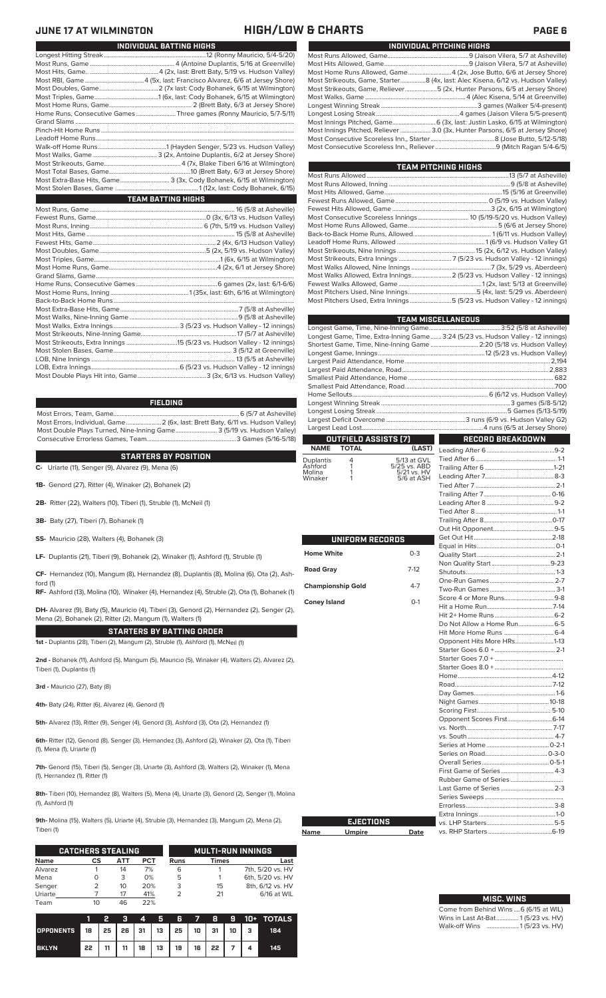### **JUNE 17 AT WILMINGTON HIGH/LOW & CHARTS PAGE 6**

| .                                                                               |
|---------------------------------------------------------------------------------|
| INDIVIDUAL PITCHING HIGHS                                                       |
|                                                                                 |
|                                                                                 |
| Most Home Runs Allowed, Game 4 (2x, Jose Butto, 6/6 at Jersey Shore)            |
| Most Strikeouts, Game, Starter8 (4x, last: Alec Kisena, 6/12 vs. Hudson Valley) |
| Most Strikeouts, Game, Reliever5 (2x, Hunter Parsons, 6/5 at Jersey Shore)      |
|                                                                                 |
|                                                                                 |
|                                                                                 |
|                                                                                 |
| Most Innings Pitched, Reliever  3.0 (3x, Hunter Parsons, 6/5 at Jersey Shore)   |
|                                                                                 |
|                                                                                 |

| <b>TEAM PITCHING HIGHS</b>                                                |  |  |  |  |  |  |  |  |
|---------------------------------------------------------------------------|--|--|--|--|--|--|--|--|
|                                                                           |  |  |  |  |  |  |  |  |
|                                                                           |  |  |  |  |  |  |  |  |
|                                                                           |  |  |  |  |  |  |  |  |
|                                                                           |  |  |  |  |  |  |  |  |
|                                                                           |  |  |  |  |  |  |  |  |
| Most Consecutive Scoreless Innings 10 (5/19-5/20 vs. Hudson Valley)       |  |  |  |  |  |  |  |  |
|                                                                           |  |  |  |  |  |  |  |  |
|                                                                           |  |  |  |  |  |  |  |  |
|                                                                           |  |  |  |  |  |  |  |  |
|                                                                           |  |  |  |  |  |  |  |  |
|                                                                           |  |  |  |  |  |  |  |  |
|                                                                           |  |  |  |  |  |  |  |  |
| Most Walks Allowed, Extra Innings 2 (5/23 vs. Hudson Valley - 12 innings) |  |  |  |  |  |  |  |  |
|                                                                           |  |  |  |  |  |  |  |  |
|                                                                           |  |  |  |  |  |  |  |  |
| Most Pitchers Used, Extra Innings5 (5/23 vs. Hudson Valley - 12 innings)  |  |  |  |  |  |  |  |  |

|                          |                      |                             | <b>TEAM MISCELLANEOUS</b>                                                        |  |  |  |  |  |
|--------------------------|----------------------|-----------------------------|----------------------------------------------------------------------------------|--|--|--|--|--|
|                          |                      |                             |                                                                                  |  |  |  |  |  |
|                          |                      |                             | Longest Game, Time, Extra-Inning Game 3:24 (5/23 vs. Hudson Valley - 12 innings) |  |  |  |  |  |
|                          |                      |                             | Shortest Game, Time, Nine-Inning Game  2:20 (5/18 vs. Hudson Valley)             |  |  |  |  |  |
|                          |                      |                             |                                                                                  |  |  |  |  |  |
|                          |                      |                             |                                                                                  |  |  |  |  |  |
|                          |                      |                             |                                                                                  |  |  |  |  |  |
|                          |                      |                             |                                                                                  |  |  |  |  |  |
|                          |                      |                             |                                                                                  |  |  |  |  |  |
|                          |                      |                             |                                                                                  |  |  |  |  |  |
|                          |                      |                             |                                                                                  |  |  |  |  |  |
|                          |                      |                             |                                                                                  |  |  |  |  |  |
|                          |                      |                             |                                                                                  |  |  |  |  |  |
|                          | OUTFIELD ASSISTS [7] |                             | RECORD BREAKDOWN                                                                 |  |  |  |  |  |
| <b>NAME</b>              | <b>TOTAL</b>         | (LAST)                      |                                                                                  |  |  |  |  |  |
| Duplantis<br>Ashford     | 4<br>1               | 5/13 at GVL<br>5/25 vs. ABD |                                                                                  |  |  |  |  |  |
| Molina                   | 1                    | 5/21 vs. HV                 |                                                                                  |  |  |  |  |  |
| Winaker                  | 1                    | 5/6 at ASH                  |                                                                                  |  |  |  |  |  |
|                          |                      |                             |                                                                                  |  |  |  |  |  |
|                          |                      |                             |                                                                                  |  |  |  |  |  |
|                          |                      |                             |                                                                                  |  |  |  |  |  |
|                          |                      |                             |                                                                                  |  |  |  |  |  |
|                          |                      |                             |                                                                                  |  |  |  |  |  |
|                          |                      |                             |                                                                                  |  |  |  |  |  |
|                          | UNIFORM RECORDS      |                             |                                                                                  |  |  |  |  |  |
| <b>Home White</b>        |                      | $0 - 3$                     |                                                                                  |  |  |  |  |  |
|                          |                      |                             |                                                                                  |  |  |  |  |  |
| <b>Road Gray</b>         |                      | $7-12$                      |                                                                                  |  |  |  |  |  |
|                          |                      | $4 - 7$                     |                                                                                  |  |  |  |  |  |
| <b>Championship Gold</b> |                      |                             |                                                                                  |  |  |  |  |  |
| <b>Coney Island</b>      |                      | $O-1$                       |                                                                                  |  |  |  |  |  |
|                          |                      |                             |                                                                                  |  |  |  |  |  |
|                          |                      |                             |                                                                                  |  |  |  |  |  |
|                          |                      |                             | Do Not Allow a Home Run 6-5                                                      |  |  |  |  |  |
|                          |                      |                             |                                                                                  |  |  |  |  |  |
|                          |                      |                             | Opponent Hits More HRs1-13                                                       |  |  |  |  |  |
|                          |                      |                             |                                                                                  |  |  |  |  |  |
|                          |                      |                             |                                                                                  |  |  |  |  |  |
|                          |                      |                             |                                                                                  |  |  |  |  |  |
|                          |                      |                             |                                                                                  |  |  |  |  |  |
|                          |                      |                             |                                                                                  |  |  |  |  |  |
|                          |                      |                             |                                                                                  |  |  |  |  |  |
|                          |                      |                             |                                                                                  |  |  |  |  |  |
|                          |                      |                             |                                                                                  |  |  |  |  |  |
|                          |                      |                             |                                                                                  |  |  |  |  |  |
|                          |                      |                             |                                                                                  |  |  |  |  |  |
|                          |                      |                             |                                                                                  |  |  |  |  |  |
|                          |                      |                             |                                                                                  |  |  |  |  |  |
|                          |                      |                             |                                                                                  |  |  |  |  |  |
|                          |                      |                             | First Game of Series 4-3                                                         |  |  |  |  |  |
|                          |                      |                             |                                                                                  |  |  |  |  |  |
|                          |                      |                             | Last Game of Series  2-3                                                         |  |  |  |  |  |
|                          |                      |                             |                                                                                  |  |  |  |  |  |
|                          |                      |                             |                                                                                  |  |  |  |  |  |
|                          | <b>EJECTIONS</b>     |                             |                                                                                  |  |  |  |  |  |
| Name                     | <b>Umpire</b>        | Date                        |                                                                                  |  |  |  |  |  |
|                          |                      |                             |                                                                                  |  |  |  |  |  |

| <b>MISC. WINS</b>                      |
|----------------------------------------|
| Come from Behind Wins  6 (6/15 at WIL) |
| Wins in Last At-Bat 1 (5/23 vs. HV)    |
| Walk-off Wins  1(5/23 vs. HV)          |

| INDIVIDUAL BATTING HIGHS                                            |
|---------------------------------------------------------------------|
|                                                                     |
|                                                                     |
|                                                                     |
|                                                                     |
|                                                                     |
|                                                                     |
|                                                                     |
| Home Runs, Consecutive Games Three games (Ronny Mauricio, 5/7-5/11) |
|                                                                     |
|                                                                     |
|                                                                     |
|                                                                     |
|                                                                     |
|                                                                     |
|                                                                     |
| Most Extra-Base Hits, Game 3 (3x, Cody Bohanek, 6/15 at Wilmington) |
|                                                                     |
| <b>TEAM BATTING HIGHS</b>                                           |
|                                                                     |
|                                                                     |
|                                                                     |
|                                                                     |
|                                                                     |
|                                                                     |
|                                                                     |
|                                                                     |
|                                                                     |
|                                                                     |
|                                                                     |
|                                                                     |
|                                                                     |
|                                                                     |
|                                                                     |
|                                                                     |
|                                                                     |
|                                                                     |
|                                                                     |
|                                                                     |
|                                                                     |

### **FIELDING**

Most Errors, Team, Game...............................................................................6 (5/7 at Asheville) Most Errors, Individual, Game......................2 (6x, last: Brett Baty, 6/11 vs. Hudson Valley) Most Double Plays Turned, Nine-Inning Game.......................... 3 (5/19 vs. Hudson Valley) Consecutive Errorless Games, Team.

### **STARTERS BY POSITION**

**C-** Uriarte (11), Senger (9), Alvarez (9), Mena (6)

**1B-** Genord (27), Ritter (4), Winaker (2), Bohanek (2)

**2B-** Ritter (22), Walters (10), Tiberi (1), Struble (1), McNeil (1)

**3B-** Baty (27), Tiberi (7), Bohanek (1)

**SS-** Mauricio (28), Walters (4), Bohanek (3)

**LF-** Duplantis (21), Tiberi (9), Bohanek (2), Winaker (1), Ashford (1), Struble (1)

**CF-** Hernandez (10), Mangum (8), Hernandez (8), Duplantis (8), Molina (6), Ota (2), Ash-

ford (1) **RF-** Ashford (13), Molina (10), Winaker (4), Hernandez (4), Struble (2), Ota (1), Bohanek (1)

**DH-** Alvarez (9), Baty (5), Mauricio (4), Tiberi (3), Genord (2), Hernandez (2), Senger (2), Mena (2), Bohanek (2), Ritter (2), Mangum (1), Walters (1)

**STARTERS BY BATTING ORDER**

**1st -** Duplantis (28), Tiberi (2), Mangum (2), Struble (1), Ashford (1), McNeil (1)

**2nd -** Bohanek (11), Ashford (5), Mangum (5), Mauricio (5), Winaker (4), Walters (2), Alvarez (2), Tiberi (1), Duplantis (1)

**3rd -** Mauricio (27), Baty (8)

**4th-** Baty (24), Ritter (6), Alvarez (4), Genord (1)

**5th-** Alvarez (13), Ritter (9), Senger (4), Genord (3), Ashford (3), Ota (2), Hernandez (1)

**6th-** Ritter (12), Genord (8), Senger (3), Hernandez (3), Ashford (2), Winaker (2), Ota (1), Tiberi (1), Mena (1), Uriarte (1)

**7th-** Genord (15), Tiberi (5), Senger (3), Uriarte (3), Ashford (3), Walters (2), Winaker (1), Mena (1), Hernandez (1), Ritter (1)

**8th-** Tiberi (10), Hernandez (8), Walters (5), Mena (4), Uriarte (3), Genord (2), Senger (1), Molina (1), Ashford (1)

**Name** 

**9th-** Molina (15), Walters (5), Uriarte (4), Struble (3), Hernandez (3), Mangum (2), Mena (2), Tiberi (1)

|             | <b>CATCHERS STEALING</b> |     |            | <b>MULTI-RUN INNINGS</b> |              |                  |  |  |  |
|-------------|--------------------------|-----|------------|--------------------------|--------------|------------------|--|--|--|
| <b>Name</b> | СS                       | ATT | <b>PCT</b> | <b>Runs</b>              | <b>Times</b> | Last             |  |  |  |
| Alvarez     |                          | 14  | 7%         | 6                        |              | 7th, 5/20 vs. HV |  |  |  |
| Mena        |                          | 3   | 0%         | 5                        |              | 6th, 5/20 vs. HV |  |  |  |
| Senger      |                          | 10  | 20%        | 3                        | 15           | 8th, 6/12 vs. HV |  |  |  |
| Uriarte     |                          | 17  | 41%        |                          | 21           | 6/16 at WIL      |  |  |  |
| Team        |                          | 46  | 22%        |                          |              |                  |  |  |  |

|                                        |    |    | $\mathbf{A}$ | - Ge | Æ  | $\sim$ |           |  | <b>B 9</b> 10+ TOTALS |
|----------------------------------------|----|----|--------------|------|----|--------|-----------|--|-----------------------|
| OPPONENTS 18 25 26 31 13 25 10 31 10 3 |    |    |              |      |    |        |           |  | 184                   |
| <b>BKLYN</b>                           | 22 | 11 | 18           | 13   | 19 |        | $16$   22 |  | 145                   |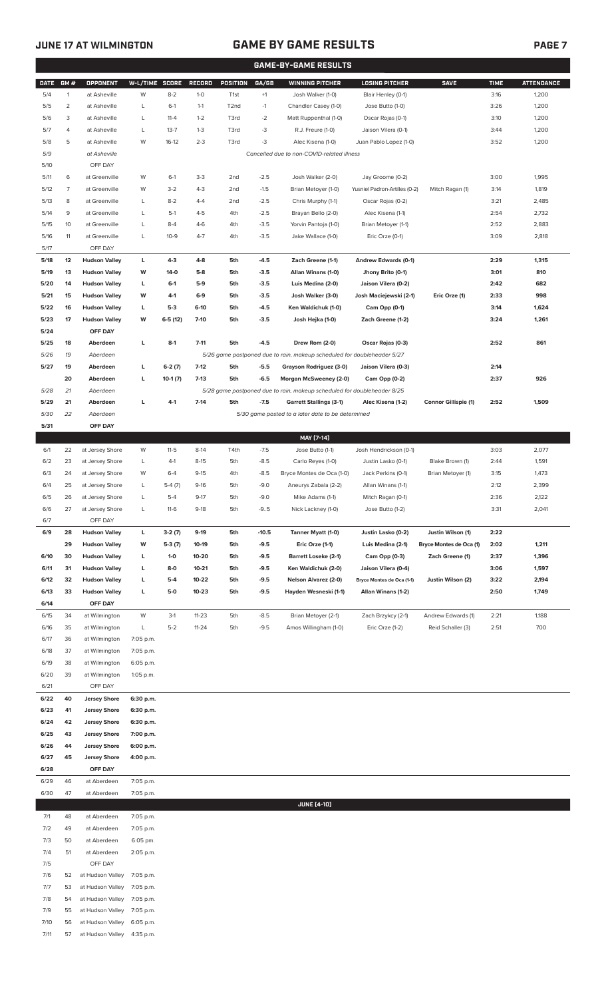7/11 57 at Hudson Valley 4:35 p.m.

### **JUNE 17 AT WILMINGTON GAME BY GAME RESULTS PAGE 7**

| <b>GAME-BY-GAME RESULTS</b> |                |                                |                |           |               |                   |         |                                                                         |                               |                             |             |                   |
|-----------------------------|----------------|--------------------------------|----------------|-----------|---------------|-------------------|---------|-------------------------------------------------------------------------|-------------------------------|-----------------------------|-------------|-------------------|
| <b>DATE</b>                 | GM#            | <b>OPPONENT</b>                | W-L/TIME SCORE |           | <b>RECORD</b> | POSITION          | GA/GB   | <b>WINNING PITCHER</b>                                                  | <b>LOSING PITCHER</b>         | <b>SAVE</b>                 | <b>TIME</b> | <b>ATTENDANCE</b> |
| 5/4                         | $\mathbf{1}$   | at Asheville                   | W              | $8 - 2$   | $1-0$         | T <sub>1st</sub>  | $+1$    | Josh Walker (1-0)                                                       | Blair Henley (0-1)            |                             | 3:16        | 1,200             |
| 5/5                         | $\overline{2}$ | at Asheville                   | L              | $6-1$     | $1 - 1$       | T <sub>2</sub> nd | $-1$    | Chandler Casey (1-0)                                                    | Jose Butto (1-0)              |                             | 3:26        | 1,200             |
| 5/6                         | 3              | at Asheville                   | L              | $11 - 4$  | $1 - 2$       | T3rd              | $-2$    | Matt Ruppenthal (1-0)                                                   | Oscar Rojas (0-1)             |                             | 3:10        | 1,200             |
| 5/7                         | 4              | at Asheville                   | L              | $13 - 7$  | $1 - 3$       | T3rd              | -3      | R.J. Freure (1-0)                                                       | Jaison Vilera (0-1)           |                             | 3:44        | 1,200             |
| 5/8                         | 5              | at Asheville                   | W              | $16-12$   | $2 - 3$       | T3rd              | $-3$    | Alec Kisena (1-0)                                                       | Juan Pablo Lopez (1-0)        |                             | 3:52        | 1,200             |
| 5/9                         |                | at Asheville                   |                |           |               |                   |         | Cancelled due to non-COVID-related illness                              |                               |                             |             |                   |
| 5/10                        |                | OFF DAY                        |                |           |               |                   |         |                                                                         |                               |                             |             |                   |
| 5/11                        | 6              | at Greenville                  | W              | $6-1$     | $3-3$         | 2 <sub>nd</sub>   | $-2.5$  | Josh Walker (2-0)                                                       | Jay Groome (0-2)              |                             | 3:00        | 1,995             |
| 5/12                        | 7              | at Greenville                  | W              | $3-2$     | $4 - 3$       | 2 <sub>nd</sub>   | $-1.5$  | Brian Metoyer (1-0)                                                     | Yusniel Padron-Artilles (0-2) | Mitch Ragan (1)             | 3:14        | 1,819             |
| 5/13                        | 8              | at Greenville                  | L              | $8 - 2$   | $4 - 4$       | 2 <sub>nd</sub>   | $-2.5$  | Chris Murphy (1-1)                                                      | Oscar Rojas (0-2)             |                             | 3:21        | 2,485             |
| 5/14                        | 9              | at Greenville                  | L              | $5-1$     | $4 - 5$       | 4th               | $-2.5$  | Brayan Bello (2-0)                                                      | Alec Kisena (1-1)             |                             | 2:54        | 2,732             |
| 5/15                        | 10             | at Greenville                  | L              | $8 - 4$   | $4-6$         | 4th               | $-3.5$  | Yorvin Pantoja (1-0)                                                    | Brian Metoyer (1-1)           |                             | 2:52        | 2,883             |
| 5/16                        | 11             | at Greenville                  | L              | $10-9$    | $4 - 7$       | 4th               | $-3.5$  | Jake Wallace (1-0)                                                      | Eric Orze (0-1)               |                             | 3:09        | 2,818             |
| 5/17                        |                | OFF DAY                        |                |           |               |                   |         |                                                                         |                               |                             |             |                   |
| 5/18                        | 12             | <b>Hudson Valley</b>           | L              | $4 - 3$   | 4-8           | 5th               | $-4.5$  | Zach Greene (1-1)                                                       | Andrew Edwards (0-1)          |                             | 2:29        | 1,315             |
| 5/19                        | 13             | <b>Hudson Valley</b>           | W              | 14-0      | $5-8$         | 5th               | $-3.5$  | Allan Winans (1-0)                                                      | Jhony Brito (0-1)             |                             | 3:01        | 810               |
| 5/20                        | 14             | <b>Hudson Valley</b>           | L              | $6-1$     | $5-9$         | 5th               | $-3.5$  | Luis Medina (2-0)                                                       | Jaison Vilera (0-2)           |                             | 2:42        | 682               |
| 5/21                        | 15             | <b>Hudson Valley</b>           | W              | $4-1$     | $6-9$         | 5th               | $-3.5$  | Josh Walker (3-0)                                                       | Josh Maciejewski (2-1)        | Eric Orze (1)               | 2:33        | 998               |
| 5/22                        | 16             | <b>Hudson Valley</b>           | L              | $5-3$     | $6-10$        | 5th               | $-4.5$  | Ken Waldichuk (1-0)                                                     | Cam Opp (0-1)                 |                             | 3:14        | 1,624             |
| 5/23                        | 17             | <b>Hudson Valley</b>           | W              | $6-5(12)$ | $7 - 10$      | 5th               | $-3.5$  | Josh Hejka (1-0)                                                        | Zach Greene (1-2)             |                             | 3:24        | 1,261             |
| 5/24                        |                | OFF DAY                        |                |           |               |                   |         |                                                                         |                               |                             |             |                   |
| 5/25                        | 18             | Aberdeen                       | L              | $8-1$     | $7 - 11$      | 5th               | $-4.5$  | Drew Rom (2-0)                                                          | Oscar Rojas (0-3)             |                             | 2:52        | 861               |
| 5/26                        | 19             | Aberdeen                       |                |           |               |                   |         | 5/26 game postponed due to rain, makeup scheduled for doubleheader 5/27 |                               |                             |             |                   |
| 5/27                        | 19             | Aberdeen                       | L              | $6-2(7)$  | $7-12$        | 5th               | $-5.5$  | Grayson Rodriguez (3-0)                                                 | Jaison Vilera (0-3)           |                             | 2:14        |                   |
|                             | 20             | Aberdeen                       | L              | $10-1(7)$ | $7-13$        | 5th               | $-6.5$  | Morgan McSweeney (2-0)                                                  | Cam Opp (0-2)                 |                             | 2:37        | 926               |
| 5/28                        | 21             | Aberdeen                       |                |           |               |                   |         | 5/28 game postponed due to rain, makeup scheduled for doubleheader 8/25 |                               |                             |             |                   |
| 5/29                        | 21             | Aberdeen                       | L              | $4-1$     | $7 - 14$      | 5th               | $-7.5$  | <b>Garrett Stallings (3-1)</b>                                          | Alec Kisena (1-2)             | <b>Connor Gillispie (1)</b> | 2:52        | 1,509             |
| 5/30                        | 22             | Aberdeen                       |                |           |               |                   |         | 5/30 game posted to a later date to be determined                       |                               |                             |             |                   |
| 5/31                        |                | OFF DAY                        |                |           |               |                   |         |                                                                         |                               |                             |             |                   |
|                             |                |                                |                |           |               |                   |         | MAY [7-14]                                                              |                               |                             |             |                   |
| 6/1                         | 22             | at Jersey Shore                | W              | $11 - 5$  | $8-14$        | T4th              | $-7.5$  | Jose Butto (1-1)                                                        | Josh Hendrickson (0-1)        |                             | 3:03        | 2,077             |
| 6/2                         | 23             | at Jersey Shore                | L              | $4-1$     | $8-15$        | 5th               | $-8.5$  | Carlo Reyes (1-0)                                                       | Justin Lasko (0-1)            | Blake Brown (1)             | 2:44        | 1,591             |
| 6/3                         | 24             | at Jersey Shore                | W              | $6 - 4$   | $9 - 15$      | 4th               | $-8.5$  | Bryce Montes de Oca (1-0)                                               | Jack Perkins (0-1)            | Brian Metoyer (1)           | 3:15        | 1,473             |
| 6/4                         | 25             | at Jersey Shore                | L              | $5-4(7)$  | $9-16$        | 5th               | $-9.0$  | Aneurys Zabala (2-2)                                                    | Allan Winans (1-1)            |                             | 2:12        | 2,399             |
| 6/5                         | 26             | at Jersey Shore                | L              | $5 - 4$   | $9-17$        | 5th               | $-9.0$  | Mike Adams (1-1)                                                        | Mitch Ragan (0-1)             |                             | 2:36        | 2,122             |
| 6/6                         | 27             | at Jersey Shore                | L              | $11-6$    | $9-18$        | 5th               | $-9.5$  | Nick Lackney (1-0)                                                      | Jose Butto (1-2)              |                             | 3:31        | 2,041             |
| 6/7                         |                | OFF DAY                        |                |           |               |                   |         |                                                                         |                               |                             |             |                   |
| 6/9                         | 28             | <b>Hudson Valley</b>           | L              | $3-2(7)$  | $9-19$        | 5th               | $-10.5$ | Tanner Myatt (1-0)                                                      | Justin Lasko (0-2)            | Justin Wilson (1)           | 2:22        |                   |
|                             | 29             | <b>Hudson Valley</b>           | W              | $5-3(7)$  | 10-19         | 5th               | $-9.5$  | Eric Orze (1-1)                                                         | Luis Medina (2-1)             | Bryce Montes de Oca (1)     | 2:02        | 1,211             |
| 6/10                        | 30             | <b>Hudson Valley</b>           | L              | $1-0$     | 10-20         | 5th               | $-9.5$  | <b>Barrett Loseke (2-1)</b>                                             | Cam Opp (0-3)                 | Zach Greene (1)             | 2:37        | 1,396             |
| 6/11                        | 31             | <b>Hudson Valley</b>           | L              | 8-0       | $10 - 21$     | 5th               | $-9.5$  | Ken Waldichuk (2-0)                                                     | Jaison Vilera (0-4)           |                             | 3:06        | 1,597             |
| 6/12                        | 32             | <b>Hudson Valley</b>           | г              | $5-4$     | 10-22         | 5th               | $-9.5$  | <b>Nelson Alvarez (2-0)</b>                                             | Bryce Montes de Oca (1-1)     | Justin Wilson (2)           | 3:22        | 2,194             |
| 6/13                        | 33             | <b>Hudson Valley</b>           | г              | 5-0       | $10 - 23$     | 5th               | $-9.5$  | Hayden Wesneski (1-1)                                                   | Allan Winans (1-2)            |                             | 2:50        | 1,749             |
| 6/14                        |                | OFF DAY                        |                |           |               |                   |         |                                                                         |                               |                             |             |                   |
| 6/15                        | 34             | at Wilmington                  | W              | $3-1$     | $11 - 23$     | 5th               | $-8.5$  | Brian Metoyer (2-1)                                                     | Zach Brzykcy (2-1)            | Andrew Edwards (1)          | 2:21        | 1,188             |
| 6/16                        | 35<br>36       | at Wilmington                  | L<br>7:05 p.m. | $5 - 2$   | $11 - 24$     | 5th               | $-9.5$  | Amos Willingham (1-0)                                                   | Eric Orze (1-2)               | Reid Schaller (3)           | 2:51        | 700               |
| 6/17                        | 37             | at Wilmington                  | 7:05 p.m.      |           |               |                   |         |                                                                         |                               |                             |             |                   |
| 6/18<br>6/19                | 38             | at Wilmington                  | 6:05 p.m.      |           |               |                   |         |                                                                         |                               |                             |             |                   |
| 6/20                        | 39             | at Wilmington<br>at Wilmington | 1:05 p.m.      |           |               |                   |         |                                                                         |                               |                             |             |                   |
| 6/21                        |                | OFF DAY                        |                |           |               |                   |         |                                                                         |                               |                             |             |                   |
| 6/22                        | 40             | <b>Jersey Shore</b>            | 6:30 p.m.      |           |               |                   |         |                                                                         |                               |                             |             |                   |
| 6/23                        | 41             | <b>Jersey Shore</b>            | 6:30 p.m.      |           |               |                   |         |                                                                         |                               |                             |             |                   |
| 6/24                        | 42             | <b>Jersey Shore</b>            | 6:30 p.m.      |           |               |                   |         |                                                                         |                               |                             |             |                   |
| 6/25                        | 43             | <b>Jersey Shore</b>            | 7:00 p.m.      |           |               |                   |         |                                                                         |                               |                             |             |                   |
| 6/26                        | 44             | <b>Jersey Shore</b>            | 6:00 p.m.      |           |               |                   |         |                                                                         |                               |                             |             |                   |
| 6/27                        | 45             | <b>Jersey Shore</b>            | 4:00 p.m.      |           |               |                   |         |                                                                         |                               |                             |             |                   |
| 6/28                        |                | OFF DAY                        |                |           |               |                   |         |                                                                         |                               |                             |             |                   |
| 6/29                        | 46             | at Aberdeen                    | 7:05 p.m.      |           |               |                   |         |                                                                         |                               |                             |             |                   |
| 6/30                        | 47             | at Aberdeen                    | 7:05 p.m.      |           |               |                   |         |                                                                         |                               |                             |             |                   |
|                             |                |                                |                |           |               |                   |         | <b>JUNE [4-10]</b>                                                      |                               |                             |             |                   |
| 7/1                         | 48             | at Aberdeen                    | 7:05 p.m.      |           |               |                   |         |                                                                         |                               |                             |             |                   |
| 7/2                         | 49             | at Aberdeen                    | 7:05 p.m.      |           |               |                   |         |                                                                         |                               |                             |             |                   |
| 7/3                         | 50             | at Aberdeen                    | 6:05 pm.       |           |               |                   |         |                                                                         |                               |                             |             |                   |
| 7/4                         | 51             | at Aberdeen                    | 2:05 p.m.      |           |               |                   |         |                                                                         |                               |                             |             |                   |
| 7/5                         |                | OFF DAY                        |                |           |               |                   |         |                                                                         |                               |                             |             |                   |
| 7/6                         | 52             | at Hudson Valley               | 7:05 p.m.      |           |               |                   |         |                                                                         |                               |                             |             |                   |
| 7/7                         | 53             | at Hudson Valley               | 7:05 p.m.      |           |               |                   |         |                                                                         |                               |                             |             |                   |
| 7/8                         | 54             | at Hudson Valley               | 7:05 p.m.      |           |               |                   |         |                                                                         |                               |                             |             |                   |
| 7/9                         | 55             | at Hudson Valley               | 7:05 p.m.      |           |               |                   |         |                                                                         |                               |                             |             |                   |
| 7/10                        | 56             | at Hudson Valley               | 6:05 p.m.      |           |               |                   |         |                                                                         |                               |                             |             |                   |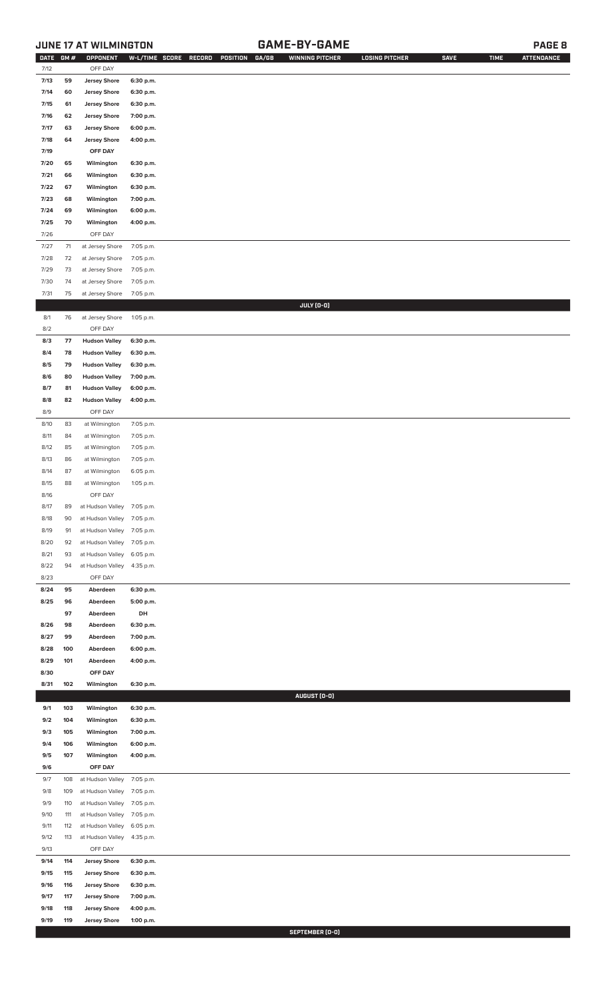### **JUNE 17 AT WILMINGTON GAME-BY-GAME PAGE 8**

| <b>DATE</b> | GM#  | OPPONENT                   |           | W-L/TIME SCORE RECORD<br>POSITION<br>GA/GB | <b>WINNING PITCHER</b> | <b>LOSING PITCHER</b> | <b>SAVE</b> | <b>TIME</b> | <b>ATTENDANCE</b> |
|-------------|------|----------------------------|-----------|--------------------------------------------|------------------------|-----------------------|-------------|-------------|-------------------|
| 7/12        |      | OFF DAY                    |           |                                            |                        |                       |             |             |                   |
| 7/13        | 59   | <b>Jersey Shore</b>        | 6:30 p.m. |                                            |                        |                       |             |             |                   |
| 7/14        | 60   | <b>Jersey Shore</b>        | 6:30 p.m. |                                            |                        |                       |             |             |                   |
| 7/15        | 61   | <b>Jersey Shore</b>        | 6:30 p.m. |                                            |                        |                       |             |             |                   |
| 7/16        | 62   | <b>Jersey Shore</b>        | 7:00 p.m. |                                            |                        |                       |             |             |                   |
| 7/17        | 63   | <b>Jersey Shore</b>        | 6:00 p.m. |                                            |                        |                       |             |             |                   |
| 7/18        | 64   | <b>Jersey Shore</b>        | 4:00 p.m. |                                            |                        |                       |             |             |                   |
|             |      |                            |           |                                            |                        |                       |             |             |                   |
| 7/19        |      | OFF DAY                    |           |                                            |                        |                       |             |             |                   |
| 7/20        | 65   | Wilmington                 | 6:30 p.m. |                                            |                        |                       |             |             |                   |
| 7/21        | 66   | Wilmington                 | 6:30 p.m. |                                            |                        |                       |             |             |                   |
| 7/22        | 67   | Wilmington                 | 6:30 p.m. |                                            |                        |                       |             |             |                   |
| 7/23        | 68   | Wilmington                 | 7:00 p.m. |                                            |                        |                       |             |             |                   |
| 7/24        | 69   | Wilmington                 | 6:00 p.m. |                                            |                        |                       |             |             |                   |
| 7/25        | 70   | Wilmington                 | 4:00 p.m. |                                            |                        |                       |             |             |                   |
| 7/26        |      | OFF DAY                    |           |                                            |                        |                       |             |             |                   |
| 7/27        | $71$ | at Jersey Shore            | 7:05 p.m. |                                            |                        |                       |             |             |                   |
| 7/28        | 72   | at Jersey Shore            | 7:05 p.m. |                                            |                        |                       |             |             |                   |
| 7/29        | 73   | at Jersey Shore            | 7:05 p.m. |                                            |                        |                       |             |             |                   |
| 7/30        | 74   | at Jersey Shore            | 7:05 p.m. |                                            |                        |                       |             |             |                   |
| 7/31        | 75   | at Jersey Shore            | 7:05 p.m. |                                            |                        |                       |             |             |                   |
|             |      |                            |           |                                            | JULY (0-0)             |                       |             |             |                   |
| 8/1         | 76   | at Jersey Shore            | 1:05 p.m. |                                            |                        |                       |             |             |                   |
| 8/2         |      | OFF DAY                    |           |                                            |                        |                       |             |             |                   |
| 8/3         | 77   | <b>Hudson Valley</b>       |           |                                            |                        |                       |             |             |                   |
|             |      |                            | 6:30 p.m. |                                            |                        |                       |             |             |                   |
| 8/4         | 78   | <b>Hudson Valley</b>       | 6:30 p.m. |                                            |                        |                       |             |             |                   |
| 8/5         | 79   | <b>Hudson Valley</b>       | 6:30 p.m. |                                            |                        |                       |             |             |                   |
| 8/6         | 80   | <b>Hudson Valley</b>       | 7:00 p.m. |                                            |                        |                       |             |             |                   |
| 8/7         | 81   | <b>Hudson Valley</b>       | 6:00 p.m. |                                            |                        |                       |             |             |                   |
| 8/8         | 82   | <b>Hudson Valley</b>       | 4:00 p.m. |                                            |                        |                       |             |             |                   |
| 8/9         |      | OFF DAY                    |           |                                            |                        |                       |             |             |                   |
| 8/10        | 83   | at Wilmington              | 7:05 p.m. |                                            |                        |                       |             |             |                   |
| 8/11        | 84   | at Wilmington              | 7:05 p.m. |                                            |                        |                       |             |             |                   |
| 8/12        | 85   | at Wilmington              | 7:05 p.m. |                                            |                        |                       |             |             |                   |
| 8/13        | 86   | at Wilmington              | 7:05 p.m. |                                            |                        |                       |             |             |                   |
| 8/14        | 87   | at Wilmington              | 6:05 p.m. |                                            |                        |                       |             |             |                   |
| 8/15        | 88   | at Wilmington              | 1:05 p.m. |                                            |                        |                       |             |             |                   |
| 8/16        |      | OFF DAY                    |           |                                            |                        |                       |             |             |                   |
| 8/17        | 89   | at Hudson Valley 7:05 p.m. |           |                                            |                        |                       |             |             |                   |
| 8/18        | 90   | at Hudson Valley           | 7:05 p.m. |                                            |                        |                       |             |             |                   |
| 8/19        | 91   | at Hudson Valley           | 7:05 p.m. |                                            |                        |                       |             |             |                   |
| 8/20        | 92   | at Hudson Valley           | 7:05 p.m. |                                            |                        |                       |             |             |                   |
| 8/21        | 93   | at Hudson Valley           | 6:05 p.m. |                                            |                        |                       |             |             |                   |
| 8/22        | 94   | at Hudson Valley           | 4:35 p.m. |                                            |                        |                       |             |             |                   |
| 8/23        |      | OFF DAY                    |           |                                            |                        |                       |             |             |                   |
| 8/24        | 95   | Aberdeen                   | 6:30 p.m. |                                            |                        |                       |             |             |                   |
| 8/25        | 96   | Aberdeen                   | 5:00 p.m. |                                            |                        |                       |             |             |                   |
|             | 97   | Aberdeen                   | DH        |                                            |                        |                       |             |             |                   |
| 8/26        | 98   | Aberdeen                   | 6:30 p.m. |                                            |                        |                       |             |             |                   |
| 8/27        | 99   | Aberdeen                   | 7:00 p.m. |                                            |                        |                       |             |             |                   |
| 8/28        | 100  | Aberdeen                   | 6:00 p.m. |                                            |                        |                       |             |             |                   |
| 8/29        | 101  | Aberdeen                   | 4:00 p.m. |                                            |                        |                       |             |             |                   |
| 8/30        |      | OFF DAY                    |           |                                            |                        |                       |             |             |                   |
| 8/31        | 102  | Wilmington                 | 6:30 p.m. |                                            |                        |                       |             |             |                   |
|             |      |                            |           |                                            | AUGUST (0-0)           |                       |             |             |                   |
| 9/1         | 103  | Wilmington                 | 6:30 p.m. |                                            |                        |                       |             |             |                   |
| 9/2         | 104  | Wilmington                 | 6:30 p.m. |                                            |                        |                       |             |             |                   |
| 9/3         | 105  | Wilmington                 | 7:00 p.m. |                                            |                        |                       |             |             |                   |
| 9/4         | 106  | Wilmington                 | 6:00 p.m. |                                            |                        |                       |             |             |                   |
| 9/5         | 107  | Wilmington                 | 4:00 p.m. |                                            |                        |                       |             |             |                   |
| 9/6         |      | OFF DAY                    |           |                                            |                        |                       |             |             |                   |
| 9/7         | 108  | at Hudson Valley           | 7:05 p.m. |                                            |                        |                       |             |             |                   |
| 9/8         | 109  | at Hudson Valley           | 7:05 p.m. |                                            |                        |                       |             |             |                   |
| 9/9         | 110  | at Hudson Valley           | 7:05 p.m. |                                            |                        |                       |             |             |                   |
| 9/10        | 111  | at Hudson Valley           | 7:05 p.m. |                                            |                        |                       |             |             |                   |
| 9/11        | 112  | at Hudson Valley           | 6:05 p.m. |                                            |                        |                       |             |             |                   |
| 9/12        | 113  | at Hudson Valley           | 4:35 p.m. |                                            |                        |                       |             |             |                   |
| 9/13        |      | OFF DAY                    |           |                                            |                        |                       |             |             |                   |
| 9/14        | 114  | <b>Jersey Shore</b>        | 6:30 p.m. |                                            |                        |                       |             |             |                   |
| 9/15        | 115  | <b>Jersey Shore</b>        | 6:30 p.m. |                                            |                        |                       |             |             |                   |
| 9/16        | 116  | <b>Jersey Shore</b>        | 6:30 p.m. |                                            |                        |                       |             |             |                   |
| 9/17        | 117  | <b>Jersey Shore</b>        | 7:00 p.m. |                                            |                        |                       |             |             |                   |
| 9/18        | 118  | <b>Jersey Shore</b>        | 4:00 p.m. |                                            |                        |                       |             |             |                   |
| 9/19        | 119  | <b>Jersey Shore</b>        | 1:00 p.m. |                                            |                        |                       |             |             |                   |

**SEPTEMBER (0-0)**